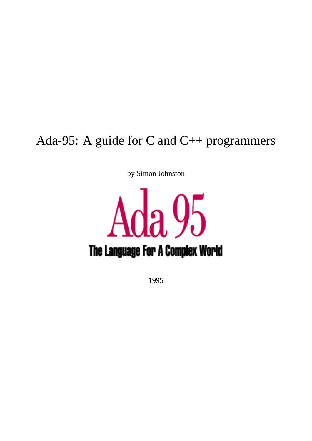## Ada-95: A guide for C and C++ programmers

by Simon Johnston



1995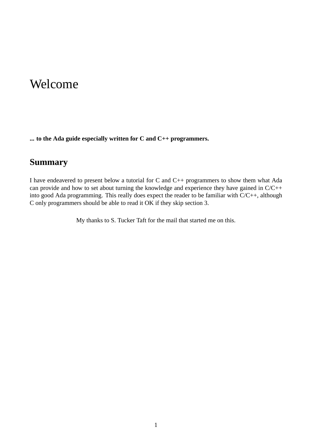## Welcome

**... to the Ada guide especially written for C and C++ programmers.**

#### **Summary**

I have endeavered to present below a tutorial for C and C++ programmers to show them what Ada can provide and how to set about turning the knowledge and experience they have gained in C/C++ into good Ada programming. This really does expect the reader to be familiar with C/C++, although C only programmers should be able to read it OK if they skip section 3.

My thanks to S. Tucker Taft for the mail that started me on this.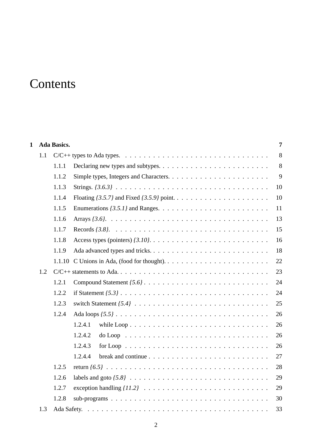## **Contents**

| $\mathbf{1}$ |     | <b>Ada Basics.</b> |                                                                                                     | $\overline{7}$ |
|--------------|-----|--------------------|-----------------------------------------------------------------------------------------------------|----------------|
|              | 1.1 |                    |                                                                                                     | 8              |
|              |     | 1.1.1              |                                                                                                     | 8              |
|              |     | 1.1.2              |                                                                                                     | 9              |
|              |     | 1.1.3              |                                                                                                     | 10             |
|              |     | 1.1.4              |                                                                                                     | 10             |
|              |     | 1.1.5              |                                                                                                     | 11             |
|              |     | 1.1.6              |                                                                                                     | 13             |
|              |     | 1.1.7              |                                                                                                     | 15             |
|              |     | 1.1.8              |                                                                                                     | 16             |
|              |     | 1.1.9              |                                                                                                     | 18             |
|              |     |                    | 1.1.10 C Unions in Ada, (food for thought). $\dots \dots \dots \dots \dots \dots \dots \dots \dots$ | 22             |
|              | 1.2 |                    |                                                                                                     | 23             |
|              |     | 1.2.1              |                                                                                                     | 24             |
|              |     | 1.2.2              |                                                                                                     | 24             |
|              |     | 1.2.3              |                                                                                                     | 25             |
|              |     | 1.2.4              |                                                                                                     | 26             |
|              |     |                    | 1.2.4.1<br>while $Loop \ldots \ldots \ldots \ldots \ldots \ldots \ldots \ldots \ldots \ldots$       | 26             |
|              |     |                    | 1.2.4.2                                                                                             | 26             |
|              |     |                    | for Loop $\ldots \ldots \ldots \ldots \ldots \ldots \ldots \ldots \ldots \ldots$<br>1.2.4.3         | 26             |
|              |     |                    | 1.2.4.4<br>break and continue $\ldots \ldots \ldots \ldots \ldots \ldots \ldots \ldots \ldots$      | 27             |
|              |     | 1.2.5              |                                                                                                     | 28             |
|              |     | 1.2.6              |                                                                                                     | 29             |
|              |     | 1.2.7              |                                                                                                     | 29             |
|              |     | 1.2.8              |                                                                                                     | 30             |
|              | 1.3 |                    |                                                                                                     | 33             |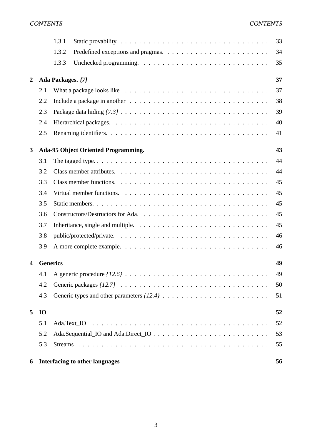|                  |           | 1.3.1             |                                                                                                                 | 33 |
|------------------|-----------|-------------------|-----------------------------------------------------------------------------------------------------------------|----|
|                  |           | 1.3.2             |                                                                                                                 | 34 |
|                  |           | 1.3.3             |                                                                                                                 | 35 |
| $\boldsymbol{2}$ |           | Ada Packages. {7} |                                                                                                                 | 37 |
|                  | 2.1       |                   | What a package looks like $\ldots \ldots \ldots \ldots \ldots \ldots \ldots \ldots \ldots \ldots \ldots \ldots$ | 37 |
|                  | 2.2       |                   |                                                                                                                 | 38 |
|                  | 2.3       |                   |                                                                                                                 | 39 |
|                  | 2.4       |                   |                                                                                                                 | 40 |
|                  | 2.5       |                   |                                                                                                                 | 41 |
| 3                |           |                   | <b>Ada-95 Object Oriented Programming.</b>                                                                      | 43 |
|                  | 3.1       |                   |                                                                                                                 | 44 |
|                  | 3.2       |                   |                                                                                                                 | 44 |
|                  | 3.3       |                   |                                                                                                                 | 45 |
|                  | 3.4       |                   |                                                                                                                 | 45 |
|                  | 3.5       |                   |                                                                                                                 | 45 |
|                  | 3.6       |                   |                                                                                                                 | 45 |
|                  | 3.7       |                   | Inheritance, single and multiple. $\ldots \ldots \ldots \ldots \ldots \ldots \ldots \ldots \ldots$              | 45 |
|                  | 3.8       |                   |                                                                                                                 | 46 |
|                  | 3.9       |                   |                                                                                                                 | 46 |
| 4                |           | <b>Generics</b>   |                                                                                                                 | 49 |
|                  | 4.1       |                   |                                                                                                                 | 49 |
|                  | 4.2       |                   |                                                                                                                 | 50 |
|                  | 4.3       |                   |                                                                                                                 | 51 |
| 5                | <b>IO</b> |                   |                                                                                                                 | 52 |
|                  | 5.1       |                   |                                                                                                                 | 52 |
|                  | 5.2       |                   |                                                                                                                 | 53 |
|                  | 5.3       |                   |                                                                                                                 | 55 |
| 6                |           |                   | <b>Interfacing to other languages</b>                                                                           | 56 |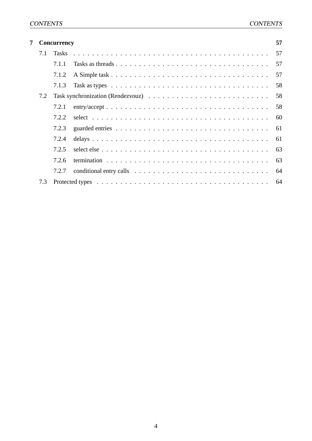| 7 |     | Concurrency | 57 |
|---|-----|-------------|----|
|   | 7.1 |             | 57 |
|   |     | 7.1.1       | 57 |
|   |     | 7.1.2       | 57 |
|   |     | 7.1.3       | 58 |
|   | 7.2 |             | 58 |
|   |     | 7.2.1       | 58 |
|   |     | 7.2.2       | 60 |
|   |     | 7.2.3       | 61 |
|   |     | 7.2.4       | 61 |
|   |     | 7.2.5       | 63 |
|   |     | 7.2.6       | 63 |
|   |     | 7.2.7       | 64 |
|   | 7.3 |             | 64 |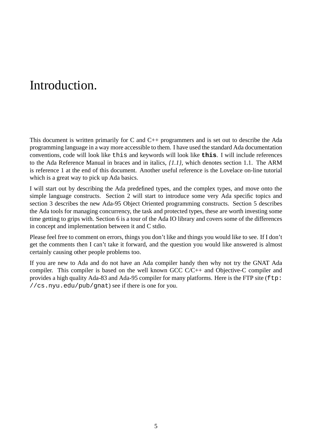## Introduction.

This document is written primarily for C and  $C_{++}$  programmers and is set out to describe the Ada programming language in a way more accessible to them. I have used the standard Ada documentation conventions, code will look like this and keywords will look like **this**. I will include references to the Ada Reference Manual in braces and in italics, *{1.1}*, which denotes section 1.1. The ARM is reference 1 at the end of this document. Another useful reference is the Lovelace on-line tutorial which is a great way to pick up Ada basics.

I will start out by describing the Ada predefined types, and the complex types, and move onto the simple language constructs. Section 2 will start to introduce some very Ada specific topics and section 3 describes the new Ada-95 Object Oriented programming constructs. Section 5 describes the Ada tools for managing concurrency, the task and protected types, these are worth investing some time getting to grips with. Section 6 is a tour of the Ada IO library and covers some of the differences in concept and implementation between it and C stdio.

Please feel free to comment on errors, things you don't like and things you would like to see. If I don't get the comments then I can't take it forward, and the question you would like answered is almost certainly causing other people problems too.

If you are new to Ada and do not have an Ada compiler handy then why not try the GNAT Ada compiler. This compiler is based on the well known GCC C/C++ and Objective-C compiler and provides a high quality Ada-83 and Ada-95 compiler for many platforms. Here is the FTP site (ftp: //cs.nyu.edu/pub/gnat) see if there is one for you.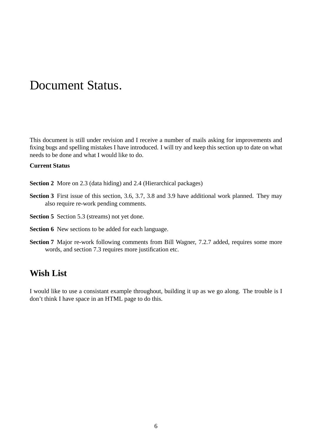## Document Status.

This document is still under revision and I receive a number of mails asking for improvements and fixing bugs and spelling mistakes I have introduced. I will try and keep this section up to date on what needs to be done and what I would like to do.

#### **Current Status**

- **Section 2** More on 2.3 (data hiding) and 2.4 (Hierarchical packages)
- **Section 3** First issue of this section, 3.6, 3.7, 3.8 and 3.9 have additional work planned. They may also require re-work pending comments.
- **Section 5** Section 5.3 (streams) not yet done.
- **Section 6** New sections to be added for each language.
- **Section 7** Major re-work following comments from Bill Wagner, 7.2.7 added, requires some more words, and section 7.3 requires more justification etc.

#### **Wish List**

I would like to use a consistant example throughout, building it up as we go along. The trouble is I don't think I have space in an HTML page to do this.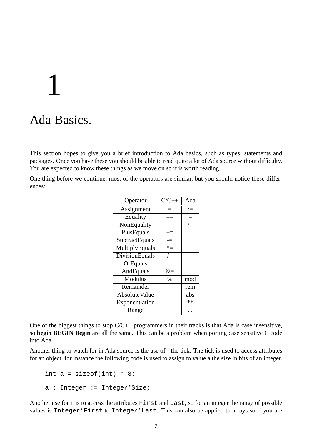# 1

## Ada Basics.

This section hopes to give you a brief introduction to Ada basics, such as types, statements and packages. Once you have these you should be able to read quite a lot of Ada source without difficulty. You are expected to know these things as we move on so it is worth reading.

One thing before we continue, most of the operators are similar, but you should notice these differences:

| Operator              | $C/C++$ | Ada    |
|-----------------------|---------|--------|
| Assignment            | —       | ≔      |
| Equality              | $=$ $=$ | Ξ      |
| NonEquality           | !=      | $/=\,$ |
| PlusEquals            | $+=$    |        |
| SubtractEquals        | -=      |        |
| MultiplyEquals        | $*_{=}$ |        |
| <b>DivisionEquals</b> | $/=\,$  |        |
| OrEquals              | l=      |        |
| AndEquals             | $\&=$   |        |
| Modulus               | $\%$    | mod    |
| Remainder             |         | rem    |
| <b>AbsoluteValue</b>  |         | abs    |
| Exponentiation        |         | **     |
| Range                 |         |        |

One of the biggest things to stop C/C++ programmers in their tracks is that Ada is case insensitive, so **begin BEGIN Begin** are all the same. This can be a problem when porting case sensitive C code into Ada.

Another thing to watch for in Ada source is the use of ' the tick. The tick is used to access attributes for an object, for instance the following code is used to assign to value a the size in bits of an integer.

```
int a = sizeof(int) * 8;
a : Integer := Integer'Size;
```
Another use for it is to access the attributes First and Last, so for an integer the range of possible values is Integer'First to Integer'Last. This can also be applied to arrays so if you are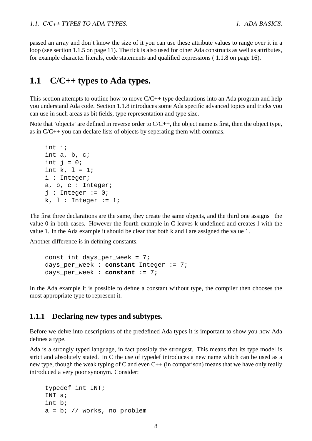passed an array and don't know the size of it you can use these attribute values to range over it in a loop (see section 1.1.5 on page 11). The tick is also used for other Ada constructs as well as attributes, for example character literals, code statements and qualified expressions ( 1.1.8 on page 16).

#### **1.1 C/C++ types to Ada types.**

This section attempts to outline how to move  $C/C++$  type declarations into an Ada program and help you understand Ada code. Section 1.1.8 introduces some Ada specific advanced topics and tricks you can use in such areas as bit fields, type representation and type size.

Note that 'objects' are defined in reverse order to C/C++, the object name is first, then the object type, as in C/C++ you can declare lists of objects by seperating them with commas.

```
int i;
int a, b, c;
int j = 0;
int k, 1 = 1;
i : Integer;
a, b, c : Integer;
j : Integer := 0;
k, 1: Integer := 1;
```
The first three declarations are the same, they create the same objects, and the third one assigns j the value 0 in both cases. However the fourth example in C leaves k undefined and creates l with the value 1. In the Ada example it should be clear that both k and l are assigned the value 1.

Another difference is in defining constants.

const int days\_per\_week = 7; days\_per\_week : **constant** Integer := 7; days\_per\_week : **constant** := 7;

In the Ada example it is possible to define a constant without type, the compiler then chooses the most appropriate type to represent it.

#### **1.1.1 Declaring new types and subtypes.**

Before we delve into descriptions of the predefined Ada types it is important to show you how Ada defines a type.

Ada is a strongly typed language, in fact possibly the strongest. This means that its type model is strict and absolutely stated. In C the use of typedef introduces a new name which can be used as a new type, though the weak typing of C and even  $C++$  (in comparison) means that we have only really introduced a very poor synonym. Consider:

```
typedef int INT;
INT a;
int b;
a = bi // works, no problem
```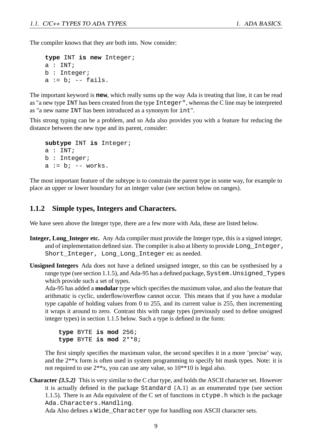The compiler knows that they are both ints. Now consider:

```
type INT is new Integer;
a : INT;
b : Integer;
a := b; -- fails.
```
The important keyword is **new**, which really sums up the way Ada is treating that line, it can be read as "a new type INT has been created from the type Integer", whereas the C line may be interpreted as "a new name INT has been introduced as a synonym for int".

This strong typing can be a problem, and so Ada also provides you with a feature for reducing the distance between the new type and its parent, consider:

```
subtype INT is Integer;
a : INT;
b : Integer;
a := b; -- works.
```
The most important feature of the subtype is to constrain the parent type in some way, for example to place an upper or lower boundary for an integer value (see section below on ranges).

#### **1.1.2 Simple types, Integers and Characters.**

We have seen above the Integer type, there are a few more with Ada, these are listed below.

- **Integer, Long\_Integer etc.** Any Ada compiler must provide the Integer type, this is a signed integer, and of implementation defined size. The compiler is also at liberty to provide Long Integer, Short\_Integer, Long\_Long\_Integer etc as needed.
- **Unsigned Integers** Ada does not have a defined unsigned integer, so this can be synthesised by a range type (see section 1.1.5), and Ada-95 has a defined package, System.Unsigned\_Types which provide such a set of types.

Ada-95 has added a **modular** type which specifies the maximum value, and also the feature that arithmatic is cyclic, underflow/overflow cannot occur. This means that if you have a modular type capable of holding values from 0 to 255, and its current value is 255, then incrementing it wraps it around to zero. Contrast this with range types (previously used to define unsigned integer types) in section 1.1.5 below. Such a type is defined in the form:

**type** BYTE **is mod** 256; **type** BYTE **is mod** 2\*\*8;

The first simply specifies the maximum value, the second specifies it in a more 'precise' way, and the 2\*\*x form is often used in system programming to specify bit mask types. Note: it is not required to use 2\*\*x, you can use any value, so 10\*\*10 is legal also.

**Character** *{3.5.2}* This is very similar to the C char type, and holds the ASCII character set. However it is actually defined in the package Standard {A.1} as an enumerated type (see section 1.1.5). There is an Ada equivalent of the C set of functions in  $ctype$ . h which is the package Ada.Characters.Handling.

Ada Also defines a Wide\_Character type for handling non ASCII character sets.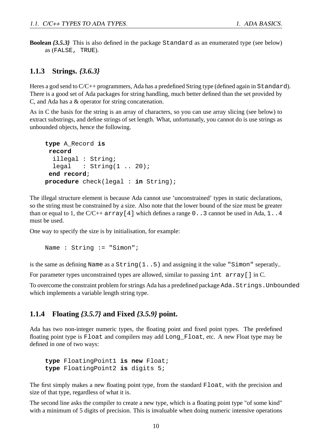**Boolean** *{3.5.3}* This is also defined in the package Standard as an enumerated type (see below) as (FALSE, TRUE).

#### **1.1.3 Strings.** *{3.6.3}*

Heres a god send to C/C++ programmers, Ada has a predefined String type (defined again in Standard). There is a good set of Ada packages for string handling, much better defined than the set provided by C, and Ada has a & operator for string concatenation.

As in C the basis for the string is an array of characters, so you can use array slicing (see below) to extract substrings, and define strings of set length. What, unfortunatly, you cannot do is use strings as unbounded objects, hence the following.

```
type A_Record is
record
  illegal : String;
  legal : String(1 .. 20);end record;
procedure check(legal : in String);
```
The illegal structure element is because Ada cannot use 'unconstrained' types in static declarations, so the string must be constrained by a size. Also note that the lower bound of the size must be greater than or equal to 1, the  $C/C++$  array [4] which defines a range 0..3 cannot be used in Ada, 1..4 must be used.

One way to specify the size is by initialisation, for example:

```
Name : String := "Simon";
```
is the same as defining Name as a String(1..5) and assigning it the value "Simon" seperatly..

For parameter types unconstrained types are allowed, similar to passing int array[] in C.

To overcome the constraint problem for strings Ada has a predefined package Ada.Strings.Unbounded which implements a variable length string type.

#### **1.1.4 Floating** *{3.5.7}* **and Fixed** *{3.5.9}* **point.**

Ada has two non-integer numeric types, the floating point and fixed point types. The predefined floating point type is Float and compilers may add Long\_Float, etc. A new Float type may be defined in one of two ways:

**type** FloatingPoint1 **is new** Float; **type** FloatingPoint2 **is** digits 5;

The first simply makes a new floating point type, from the standard Float, with the precision and size of that type, regardless of what it is.

The second line asks the compiler to create a new type, which is a floating point type "of some kind" with a minimum of 5 digits of precision. This is invaluable when doing numeric intensive operations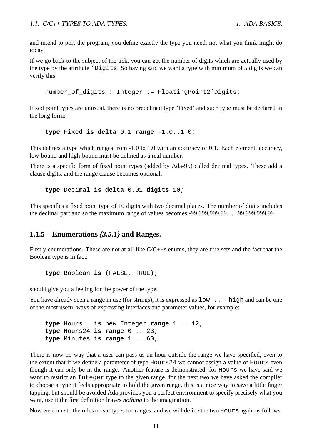and intend to port the program, you define exactly the type you need, not what you think might do today.

If we go back to the subject of the tick, you can get the number of digits which are actually used by the type by the attribute 'Digits. So having said we want a type with minimum of 5 digits we can verify this:

number of digits : Integer := FloatingPoint2'Digits;

Fixed point types are unusual, there is no predefined type 'Fixed' and such type must be declared in the long form:

**type** Fixed **is delta** 0.1 **range** -1.0..1.0;

This defines a type which ranges from -1.0 to 1.0 with an accuracy of 0.1. Each element, accuracy, low-bound and high-bound must be defined as a real number.

There is a specific form of fixed point types (added by Ada-95) called decimal types. These add a clause digits, and the range clause becomes optional.

**type** Decimal **is delta** 0.01 **digits** 10;

This specifies a fixed point type of 10 digits with two decimal places. The number of digits includes the decimal part and so the maximum range of values becomes -99,999,999.99. . . +99,999,999.99

#### **1.1.5 Enumerations** *{3.5.1}* **and Ranges.**

Firstly enumerations. These are not at all like C/C++s enums, they are true sets and the fact that the Boolean type is in fact:

**type** Boolean **is** (FALSE, TRUE);

should give you a feeling for the power of the type.

You have already seen a range in use (for strings), it is expressed as  $1ow$ . high and can be one of the most useful ways of expressing interfaces and parameter values, for example:

```
type Hours is new Integer range 1 .. 12;
type Hours24 is range 0 .. 23;
type Minutes is range 1 .. 60;
```
There is now no way that a user can pass us an hour outside the range we have specified, even to the extent that if we define a parameter of type Hours24 we cannot assign a value of Hours even though it can only be in the range. Another feature is demonstrated, for Hours we have said we want to restrict an Integer type to the given range, for the next two we have asked the compiler to choose a type it feels appropriate to hold the given range, this is a nice way to save a little finger tapping, but should be avoided Ada provides you a perfect environment to specify precisely what you want, use it the first definition leaves *nothing* to the imagination.

Now we come to the rules on subtypes for ranges, and we will define the two Hours again as follows: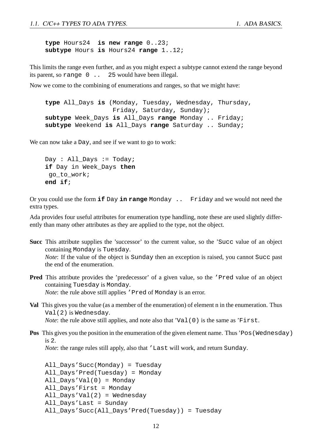**type** Hours24 **is new range** 0..23; **subtype** Hours **is** Hours24 **range** 1..12;

This limits the range even further, and as you might expect a subtype cannot extend the range beyond its parent, so range 0 .. 25 would have been illegal.

Now we come to the combining of enumerations and ranges, so that we might have:

**type** All\_Days **is** (Monday, Tuesday, Wednesday, Thursday, Friday, Saturday, Sunday); **subtype** Week\_Days **is** All\_Days **range** Monday .. Friday; **subtype** Weekend **is** All\_Days **range** Saturday .. Sunday;

We can now take a Day, and see if we want to go to work:

```
Day : All_Days := Today;
if Day in Week_Days then
go_to_work;
end if;
```
Or you could use the form **if** Day **in range** Monday .. Friday and we would not need the extra types.

Ada provides four useful attributes for enumeration type handling, note these are used slightly differently than many other attributes as they are applied to the type, not the object.

- **Succ** This attribute supplies the 'successor' to the current value, so the 'Succ value of an object containing Monday is Tuesday. *Note*: If the value of the object is Sunday then an exception is raised, you cannot Succ past the end of the enumeration.
- **Pred** This attribute provides the 'predecessor' of a given value, so the 'Pred value of an object containing Tuesday is Monday. *Note*: the rule above still applies 'Pred of Monday is an error.
- **Val** This gives you the value (as a member of the enumeration) of element n in the enumeration. Thus Val(2) is Wednesday. *Note*: the rule above still applies, and note also that 'Val(0) is the same as 'First.
- **Pos** This gives you the position in the enumeration of the given element name. Thus 'Pos (Wednesday) is 2.

*Note*: the range rules still apply, also that 'Last will work, and return Sunday.

```
All_Days'Succ(Monday) = Tuesday
All_Days'Pred(Tuesday) = Monday
All_Days'Val(0) = Monday
All_Days'First = Monday
All_Days'Val(2) = Wednesday
All_Days'Last = Sunday
All_Days'Succ(All_Days'Pred(Tuesday)) = Tuesday
```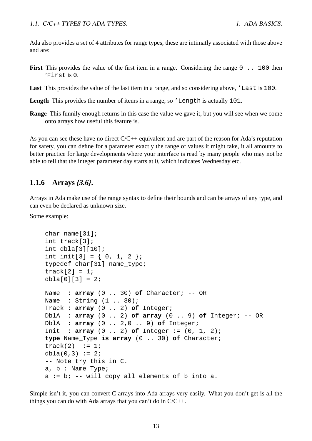Ada also provides a set of 4 attributes for range types, these are intimatly associated with those above and are:

- **First** This provides the value of the first item in a range. Considering the range 0 . 100 then 'First is 0.
- Last This provides the value of the last item in a range, and so considering above, 'Last is 100.
- **Length** This provides the number of items in a range, so 'Length is actually 101.
- **Range** This funnily enough returns in this case the value we gave it, but you will see when we come onto arrays how useful this feature is.

As you can see these have no direct C/C++ equivalent and are part of the reason for Ada's reputation for safety, you can define for a parameter exactly the range of values it might take, it all amounts to better practice for large developments where your interface is read by many people who may not be able to tell that the integer parameter day starts at 0, which indicates Wednesday etc.

#### **1.1.6 Arrays** *{3.6}***.**

Arrays in Ada make use of the range syntax to define their bounds and can be arrays of any type, and can even be declared as unknown size.

Some example:

```
char name[31];
int track[3];
int dbla[3][10];
int init[3] = \{ 0, 1, 2 \};
typedef char[31] name type;
track[2] = 1;dbla[0][3] = 2iName : array (0 .. 30) of Character; -- OR
Name : String (1 .. 30);
Track : array (0 .. 2) of Integer;
DblA : array (0 .. 2) of array (0 .. 9) of Integer; -- OR
DblA : array (0 .. 2,0 .. 9) of Integer;
Init : array (0 .. 2) of Integer := (0, 1, 2);
type Name_Type is array (0 .. 30) of Character;
track(2) := 1;dbla(0,3) := 2i-- Note try this in C.
a, b : Name_Type;
a := b; -- will copy all elements of b into a.
```
Simple isn't it, you can convert C arrays into Ada arrays very easily. What you don't get is all the things you can do with Ada arrays that you can't do in  $C/C++$ .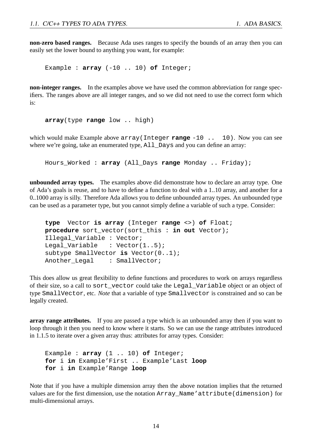**non-zero based ranges.** Because Ada uses ranges to specify the bounds of an array then you can easily set the lower bound to anything you want, for example:

Example : **array** (-10 .. 10) **of** Integer;

**non-integer ranges.** In the examples above we have used the common abbreviation for range specifiers. The ranges above are all integer ranges, and so we did not need to use the correct form which is:

**array**(type **range** low .. high)

which would make Example above array(Integer **range** -10 .. 10). Now you can see where we're going, take an enumerated type, All\_Days and you can define an array:

Hours\_Worked : **array** (All\_Days **range** Monday .. Friday);

**unbounded array types.** The examples above did demonstrate how to declare an array type. One of Ada's goals is reuse, and to have to define a function to deal with a 1..10 array, and another for a 0..1000 array is silly. Therefore Ada allows you to define unbounded array types. An unbounded type can be used as a parameter type, but you cannot simply define a variable of such a type. Consider:

```
type Vector is array (Integer range <>) of Float;
procedure sort_vector(sort_this : in out Vector);
Illegal Variable : Vector;
Legal Variable : Vector(1..5);
subtype SmallVector is Vector(0..1);
Another Legal : SmallVector;
```
This does allow us great flexibility to define functions and procedures to work on arrays regardless of their size, so a call to sort\_vector could take the Legal\_Variable object or an object of type SmallVector, etc. *Note* that a variable of type Smallvector is constrained and so can be legally created.

**array range attributes.** If you are passed a type which is an unbounded array then if you want to loop through it then you need to know where it starts. So we can use the range attributes introduced in 1.1.5 to iterate over a given array thus: attributes for array types. Consider:

Example : **array** (1 .. 10) **of** Integer; **for** i **in** Example'First .. Example'Last **loop for** i **in** Example'Range **loop**

Note that if you have a multiple dimension array then the above notation implies that the returned values are for the first dimension, use the notation Array\_Name'attribute(dimension) for multi-dimensional arrays.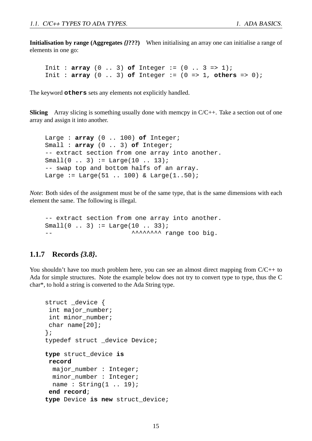**Initialisation by range (Aggregates** *{}***???)** When initialising an array one can initialise a range of elements in one go:

Init : **array**  $(0 \ldots 3)$  of Integer :=  $(0 \ldots 3 \implies 1)$ ; Init :  $array (0 .. 3)$  of Integer :=  $(0 => 1, others => 0);$ 

The keyword **others** sets any elements not explicitly handled.

**Slicing** Array slicing is something usually done with memcpy in C/C++. Take a section out of one array and assign it into another.

Large : **array** (0 .. 100) **of** Integer; Small : **array** (0 .. 3) **of** Integer; -- extract section from one array into another.  $Small(0 .. 3) := Large(10 .. 13);$ -- swap top and bottom halfs of an array. Large := Large( $51$  .. 100) & Large( $1..50$ );

*Note*: Both sides of the assignment must be of the same type, that is the same dimensions with each element the same. The following is illegal.

```
-- extract section from one array into another.
Small(0 .. 3) := Large(10 .. 33);-- \sim ^^^^^^^^^^ range too big.
```
#### **1.1.7 Records** *{3.8}***.**

You shouldn't have too much problem here, you can see an almost direct mapping from  $C/C++$  to Ada for simple structures. Note the example below does not try to convert type to type, thus the C char\*, to hold a string is converted to the Ada String type.

```
struct _device {
int major number;
int minor number;
char name[20];
};
typedef struct _device Device;
type struct_device is
record
 major_number : Integer;
 minor_number : Integer;
 name : String(1 .. 19);
 end record;
type Device is new struct device;
```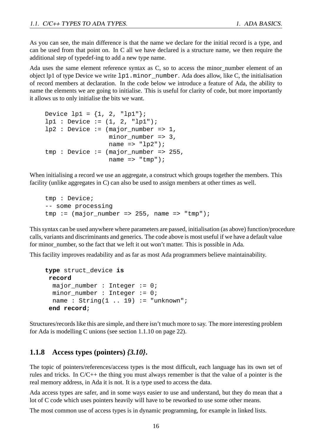As you can see, the main difference is that the name we declare for the initial record is a type, and can be used from that point on. In C all we have declared is a structure name, we then require the additional step of typedef-ing to add a new type name.

Ada uses the same element reference syntax as C, so to access the minor\_number element of an object lp1 of type Device we write lp1.minor\_number. Ada does allow, like C, the initialisation of record members at declaration. In the code below we introduce a feature of Ada, the ability to name the elements we are going to initialise. This is useful for clarity of code, but more importantly it allows us to only initialise the bits we want.

```
Device 1p1 = \{1, 2, "1p1" \}lp1 : Device := (1, 2, "lp1");1p2 : Device := (major\_number = > 1,minor number = 3,
                   name \Rightarrow "\ln 2");
tmp : Device := (major_number => 255,
                   name \Rightarrow "\text{tmp"'};
```
When initialising a record we use an aggregate, a construct which groups together the members. This facility (unlike aggregates in C) can also be used to assign members at other times as well.

```
tmp : Device;
-- some processing
tmp := (major_number = > 255, name = > "tmp");
```
This syntax can be used anywhere where parameters are passed, initialisation (as above) function/procedure calls, variants and discriminants and generics. The code above is most useful if we have a default value for minor number, so the fact that we left it out won't matter. This is possible in Ada.

This facility improves readability and as far as most Ada programmers believe maintainability.

```
type struct_device is
record
 major_number : Integer := 0;
 minor_number : Integer := 0;
 name : String(1.. 19) := "unknown";
 end record;
```
Structures/records like this are simple, and there isn't much more to say. The more interesting problem for Ada is modelling C unions (see section 1.1.10 on page 22).

#### **1.1.8 Access types (pointers)** *{3.10}***.**

The topic of pointers/references/access types is the most difficult, each language has its own set of rules and tricks. In C/C++ the thing you must always remember is that the value of a pointer is the real memory address, in Ada it is not. It is a type used to access the data.

Ada access types are safer, and in some ways easier to use and understand, but they do mean that a lot of C code which uses pointers heavily will have to be reworked to use some other means.

The most common use of access types is in dynamic programming, for example in linked lists.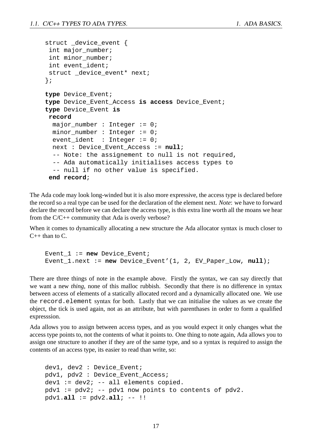```
struct _device_event {
 int major_number;
 int minor number;
 int event_ident;
 struct _device_event* next;
};
type Device_Event;
type Device_Event_Access is access Device_Event;
type Device_Event is
record
 major number : Integer := 0;
 minor_number : Integer := 0;
  event_ident : Integer := 0;
 next : Device_Event_Access := null;
  -- Note: the assignement to null is not required,
  -- Ada automatically initialises access types to
  -- null if no other value is specified.
 end record;
```
The Ada code may look long-winded but it is also more expressive, the access type is declared before the record so a real type can be used for the declaration of the element next. *Note*: we have to forward declare the record before we can declare the access type, is this extra line worth all the moans we hear from the C/C++ community that Ada is overly verbose?

When it comes to dynamically allocating a new structure the Ada allocator syntax is much closer to  $C_{++}$  than to  $C_{-}$ .

```
Event_1 := new Device_Event;
Event_1.next := new Device_Event'(1, 2, EV_Paper_Low, null);
```
There are three things of note in the example above. Firstly the syntax, we can say directly that we want a new *thing*, none of this malloc rubbish. Secondly that there is no difference in syntax between access of elements of a statically allocated record and a dynamically allocated one. We use the record.element syntax for both. Lastly that we can initialise the values as we create the object, the tick is used again, not as an attribute, but with parenthases in order to form a qualified expresssion.

Ada allows you to assign between access types, and as you would expect it only changes what the access type points to, not the contents of what it points to. One thing to note again, Ada allows you to assign one structure to another if they are of the same type, and so a syntax is required to assign the contents of an access type, its easier to read than write, so:

```
dev1, dev2 : Device Event;
pdv1, pdv2 : Device_Event_Access;
dev1 := dev2; --- all elements copied.pdv1 := pdv2; -- pdv1 now points to contents of pdv2.
pdv1.all := pdv2.all; -- !!
```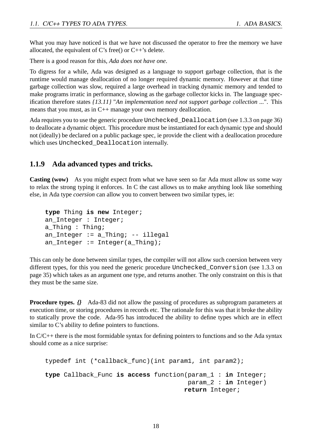What you may have noticed is that we have not discussed the operator to free the memory we have allocated, the equivalent of C's free() or  $C^{++}$ 's delete.

There is a good reason for this, *Ada does not have one*.

To digress for a while, Ada was designed as a language to support garbage collection, that is the runtime would manage deallocation of no longer required dynamic memory. However at that time garbage collection was slow, required a large overhead in tracking dynamic memory and tended to make programs irratic in performance, slowing as the garbage collector kicks in. The language specification therefore states *{13.11}* "*An implementation need not support garbage collection ...*". This means that you must, as in C++ manage your own memory deallocation.

Ada requires you to use the generic procedure Unchecked\_Deallocation (see 1.3.3 on page 36) to deallocate a dynamic object. This procedure must be instantiated for each dynamic type and should not (ideally) be declared on a public package spec, ie provide the client with a deallocation procedure which uses Unchecked\_Deallocation internally.

#### **1.1.9 Ada advanced types and tricks.**

**Casting (wow)** As you might expect from what we have seen so far Ada must allow us some way to relax the strong typing it enforces. In C the cast allows us to make anything look like something else, in Ada type *coersion* can allow you to convert between two similar types, ie:

```
type Thing is new Integer;
an_Integer : Integer;
a Thing : Thing;
an_Integer := a_Thing; -- illegal
an_Integer := Integer(a_Thing);
```
This can only be done between similar types, the compiler will not allow such coersion between very different types, for this you need the generic procedure Unchecked\_Conversion (see 1.3.3 on page 35) which takes as an argument one type, and returns another. The only constraint on this is that they must be the same size.

**Procedure types.**  $\iint$  Ada-83 did not allow the passing of procedures as subprogram parameters at execution time, or storing procedures in records etc. The rationale for this was that it broke the ability to statically prove the code. Ada-95 has introduced the ability to define types which are in effect similar to C's ability to define pointers to functions.

In C/C++ there is the most formidable syntax for defining pointers to functions and so the Ada syntax should come as a nice surprise:

```
typedef int (*callback_func)(int param1, int param2);
type Callback_Func is access function(param_1 : in Integer;
                                      param_2 : in Integer)
                                     return Integer;
```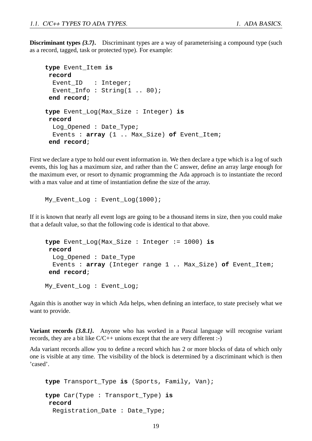**Discriminant types**  $\{3.7\}$ . Discriminant types are a way of parameterising a compound type (such as a record, tagged, task or protected type). For example:

```
type Event_Item is
record
 Event_ID : Integer;
 Event_Info: String(1 .. 80);
 end record;
type Event_Log(Max_Size : Integer) is
record
 Log_Opened : Date_Type;
 Events : array (1 .. Max_Size) of Event_Item;
 end record;
```
First we declare a type to hold our event information in. We then declare a type which is a log of such events, this log has a maximum size, and rather than the C answer, define an array large enough for the maximum ever, or resort to dynamic programming the Ada approach is to instantiate the record with a max value and at time of instantiation define the size of the array.

My\_Event\_Log : Event\_Log(1000);

If it is known that nearly all event logs are going to be a thousand items in size, then you could make that a default value, so that the following code is identical to that above.

```
type Event_Log(Max_Size : Integer := 1000) is
record
 Log_Opened : Date_Type
 Events : array (Integer range 1 .. Max_Size) of Event_Item;
end record;
My Event Log : Event Log;
```
Again this is another way in which Ada helps, when defining an interface, to state precisely what we want to provide.

**Variant records**  $\{3.8.1\}$ **.** Anyone who has worked in a Pascal language will recognise variant records, they are a bit like  $C/C++$  unions except that the are very different :-)

Ada variant records allow you to define a record which has 2 or more blocks of data of which only one is visible at any time. The visibility of the block is determined by a discriminant which is then 'cased'.

```
type Transport_Type is (Sports, Family, Van);
type Car(Type : Transport_Type) is
record
 Registration_Date : Date_Type;
```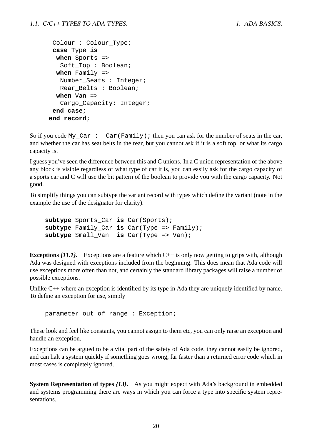```
Colour : Colour_Type;
case Type is
 when Sports =>
   Soft_Top : Boolean;
 when Family =>
  Number_Seats : Integer;
  Rear Belts : Boolean;
 when Van =>
  Cargo_Capacity: Integer;
end case;
end record;
```
So if you code My\_Car : Car(Family); then you can ask for the number of seats in the car, and whether the car has seat belts in the rear, but you cannot ask if it is a soft top, or what its cargo capacity is.

I guess you've seen the difference between this and C unions. In a C union representation of the above any block is visible regardless of what type of car it is, you can easily ask for the cargo capacity of a sports car and C will use the bit pattern of the boolean to provide you with the cargo capacity. Not good.

To simplify things you can subtype the variant record with types which define the variant (note in the example the use of the designator for clarity).

**subtype** Sports\_Car **is** Car(Sports); **subtype** Family\_Car **is** Car(Type => Family); **subtype** Small\_Van **is** Car(Type => Van);

**Exceptions** *{11.1}* Exceptions are a feature which C++ is only now getting to grips with, although Ada was designed with exceptions included from the beginning. This does mean that Ada code will use exceptions more often than not, and certainly the standard library packages will raise a number of possible exceptions.

Unlike C++ where an exception is identified by its type in Ada they are uniquely identified by name. To define an exception for use, simply

parameter\_out\_of\_range : Exception;

These look and feel like constants, you cannot assign to them etc, you can only raise an exception and handle an exception.

Exceptions can be argued to be a vital part of the safety of Ada code, they cannot easily be ignored, and can halt a system quickly if something goes wrong, far faster than a returned error code which in most cases is completely ignored.

**System Representation of types** *{13}***.** As you might expect with Ada's background in embedded and systems programming there are ways in which you can force a type into specific system representations.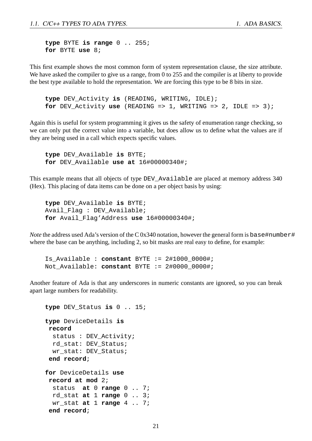**type** BYTE **is range** 0 .. 255; **for** BYTE **use** 8;

This first example shows the most common form of system representation clause, the size attribute. We have asked the compiler to give us a range, from 0 to 255 and the compiler is at liberty to provide the best type available to hold the representation. We are forcing this type to be 8 bits in size.

**type** DEV\_Activity **is** (READING, WRITING, IDLE); **for** DEV\_Activity **use** (READING => 1, WRITING => 2, IDLE => 3);

Again this is useful for system programming it gives us the safety of enumeration range checking, so we can only put the correct value into a variable, but does allow us to define what the values are if they are being used in a call which expects specific values.

**type** DEV\_Available **is** BYTE; **for** DEV\_Available **use at** 16#00000340#;

This example means that all objects of type DEV\_Available are placed at memory address 340 (Hex). This placing of data items can be done on a per object basis by using:

**type** DEV\_Available **is** BYTE; Avail\_Flag : DEV\_Available; **for** Avail\_Flag'Address **use** 16#00000340#;

*Note* the address used Ada's version of the C 0x340 notation, however the general form is base#number# where the base can be anything, including 2, so bit masks are real easy to define, for example:

```
Is_Available : constant BYTE := 2#1000_0000#;
Not_Available: constant BYTE := 2#0000_0000#;
```
Another feature of Ada is that any underscores in numeric constants are ignored, so you can break apart large numbers for readability.

```
type DEV_Status is 0 .. 15;
type DeviceDetails is
record
  status : DEV Activity;
 rd_stat: DEV_Status;
 wr_stat: DEV_Status;
 end record;
for DeviceDetails use
record at mod 2;
  status at 0 range 0 .. 7;
 rd_stat at 1 range 0 .. 3;
 wr_stat at 1 range 4 .. 7;
 end record;
```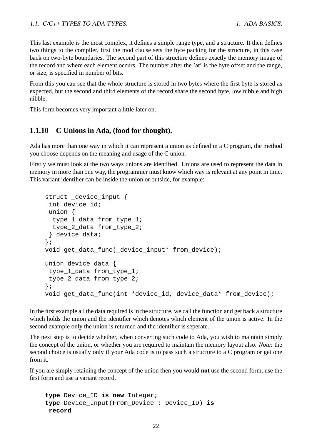This last example is the most complex, it defines a simple range type, and a structure. It then defines two things to the compiler, first the mod clause sets the byte packing for the structure, in this case back on two-byte boundaries. The second part of this structure defines exactly the memory image of the record and where each element occurs. The number after the 'at' is the byte offset and the range, or size, is specified in number of bits.

From this you can see that the whole structure is stored in two bytes where the first byte is stored as expected, but the second and third elements of the record share the second byte, low nibble and high nibble.

This form becomes very important a little later on.

#### **1.1.10 C Unions in Ada, (food for thought).**

Ada has more than one way in which it can represent a union as defined in a C program, the method you choose depends on the meaning and usage of the C union.

Firstly we must look at the two ways unions are identified. Unions are used to represent the data in memory in more than one way, the programmer must know which way is relevant at any point in time. This variant identifier can be inside the union or outside, for example:

```
struct device input {
 int device_id;
union {
 type_1_data from_type_1;
 type 2 data from type 2;
 } device_data;
};
void get_data_func(_device_input* from_device);
union device data {
 type_1_data from_type_1;
 type 2 data from type 2;
};
void get_data_func(int *device_id, device data* from device);
```
In the first example all the data required is in the structure, we call the function and get back a structure which holds the union and the identifier which denotes which element of the union is active. In the second example only the union is returned and the identifier is seperate.

The next step is to decide whether, when converting such code to Ada, you wish to maintain simply the concept of the union, or whether you are required to maintain the memory layout also. *Note*: the second choice is usually only if your Ada code is to pass such a structure to a C program or get one from it.

If you are simply retaining the concept of the union then you would **not** use the second form, use the first form and use a variant record.

```
type Device_ID is new Integer;
type Device_Input(From_Device : Device_ID) is
record
```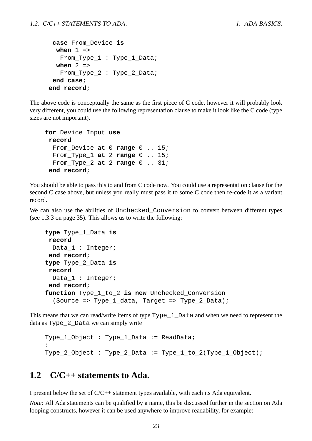```
case From_Device is
 when 1 =>
  From_Type_1 : Type_1_Data;
 when 2 =>
  From_Type_2 : Type_2_Data;
end case;
end record;
```
The above code is conceptually the same as the first piece of C code, however it will probably look very different, you could use the following representation clause to make it look like the C code (type sizes are not important).

```
for Device_Input use
record
 From_Device at 0 range 0 .. 15;
 From_Type_1 at 2 range 0 .. 15;
 From_Type_2 at 2 range 0 .. 31;
 end record;
```
You should be able to pass this to and from C code now. You could use a representation clause for the second C case above, but unless you really must pass it to some C code then re-code it as a variant record.

We can also use the abilities of Unchecked\_Conversion to convert between different types (see 1.3.3 on page 35). This allows us to write the following:

```
type Type_1_Data is
record
 Data_1 : Integer;
 end record;
type Type_2_Data is
record
 Data 1 : Integer;
 end record;
function Type_1_to_2 is new Unchecked_Conversion
  (Source => Type_1_data, Target => Type_2_Data);
```
This means that we can read/write items of type Type 1 Data and when we need to represent the data as Type\_2\_Data we can simply write

```
Type_1_Object : Type_1_Data := ReadData;
:
Type_2_Object : Type_2_Data := Type_1_to_2(Type_1_Object);
```
#### **1.2 C/C++ statements to Ada.**

I present below the set of C/C++ statement types available, with each its Ada equivalent.

*Note*: All Ada statements can be qualified by a name, this be discussed further in the section on Ada looping constructs, however it can be used anywhere to improve readability, for example: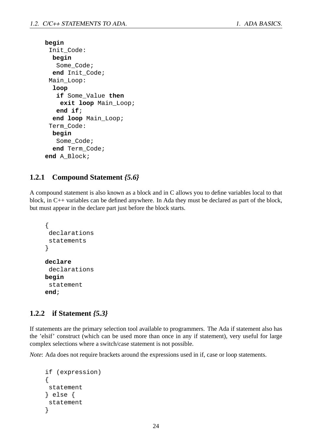```
begin
 Init_Code:
  begin
   Some_Code;
  end Init_Code;
 Main_Loop:
  loop
   if Some_Value then
    exit loop Main_Loop;
   end if;
  end loop Main_Loop;
 Term_Code:
  begin
   Some Code;
  end Term_Code;
end A_Block;
```
#### **1.2.1 Compound Statement** *{5.6}*

A compound statement is also known as a block and in C allows you to define variables local to that block, in C++ variables can be defined anywhere. In Ada they must be declared as part of the block, but must appear in the declare part just before the block starts.

```
{
 declarations
 statements
}
declare
 declarations
begin
 statement
end;
```
#### **1.2.2 if Statement** *{5.3}*

If statements are the primary selection tool available to programmers. The Ada if statement also has the 'elsif' construct (which can be used more than once in any if statement), very useful for large complex selections where a switch/case statement is not possible.

*Note*: Ada does not require brackets around the expressions used in if, case or loop statements.

```
if (expression)
{
statement
} else {
 statement
}
```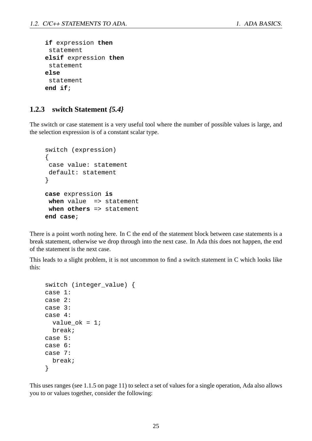```
if expression then
 statement
elsif expression then
 statement
else
 statement
end if;
```
#### **1.2.3 switch Statement** *{5.4}*

The switch or case statement is a very useful tool where the number of possible values is large, and the selection expression is of a constant scalar type.

```
switch (expression)
\{case value: statement
default: statement
}
case expression is
when value => statement
when others => statement
end case;
```
There is a point worth noting here. In C the end of the statement block between case statements is a break statement, otherwise we drop through into the next case. In Ada this does not happen, the end of the statement is the next case.

This leads to a slight problem, it is not uncommon to find a switch statement in C which looks like this:

```
switch (integer_value) {
case 1:
case 2:
case 3:
case 4:
  value_ok = 1;
 break;
case 5:
case 6:
case 7:
  break;
}
```
This uses ranges (see 1.1.5 on page 11) to select a set of values for a single operation, Ada also allows you to or values together, consider the following: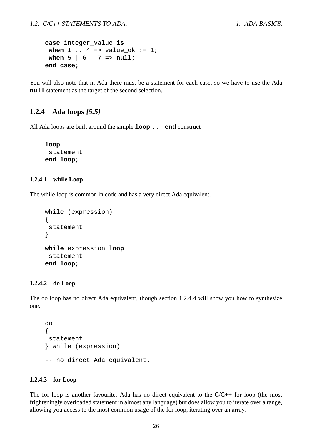```
case integer_value is
 when 1 \tcdot 4 \tRightarrow value ok := 1;
 when 5 | 6 | 7 => null;
end case;
```
You will also note that in Ada there must be a statement for each case, so we have to use the Ada **null** statement as the target of the second selection.

#### **1.2.4 Ada loops** *{5.5}*

All Ada loops are built around the simple **loop** ... **end** construct

**loop** statement **end loop**;

#### **1.2.4.1 while Loop**

The while loop is common in code and has a very direct Ada equivalent.

```
while (expression)
{
 statement
}
while expression loop
 statement
end loop;
```
#### **1.2.4.2 do Loop**

The do loop has no direct Ada equivalent, though section 1.2.4.4 will show you how to synthesize one.

```
do
{
statement
} while (expression)
-- no direct Ada equivalent.
```
#### **1.2.4.3 for Loop**

The for loop is another favourite, Ada has no direct equivalent to the C/C++ for loop (the most frighteningly overloaded statement in almost any language) but does allow you to iterate over a range, allowing you access to the most common usage of the for loop, iterating over an array.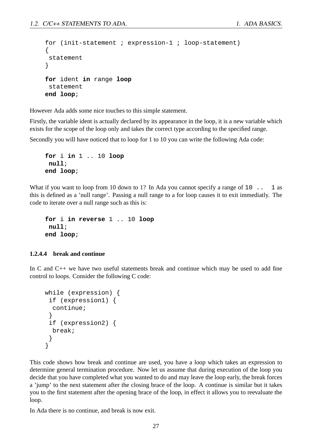```
for (init-statement ; expression-1 ; loop-statement)
{
statement
}
for ident in range loop
 statement
end loop;
```
However Ada adds some nice touches to this simple statement.

Firstly, the variable ident is actually declared by its appearance in the loop, it is a new variable which exists for the scope of the loop only and takes the correct type according to the specified range.

Secondly you will have noticed that to loop for 1 to 10 you can write the following Ada code:

```
for i in 1 .. 10 loop
null;
end loop;
```
What if you want to loop from 10 down to 1? In Ada you cannot specify a range of  $10$ .  $\ldots$  1 as this is defined as a 'null range'. Passing a null range to a for loop causes it to exit immediatly. The code to iterate over a null range such as this is:

**for** i **in reverse** 1 .. 10 **loop null**; **end loop**;

#### **1.2.4.4 break and continue**

In C and C++ we have two useful statements break and continue which may be used to add fine control to loops. Consider the following C code:

```
while (expression) {
 if (expression1) {
  continue;
 }
 if (expression2) {
 break;
 }
}
```
This code shows how break and continue are used, you have a loop which takes an expression to determine general termination procedure. Now let us assume that during execution of the loop you decide that you have completed what you wanted to do and may leave the loop early, the break forces a 'jump' to the next statement after the closing brace of the loop. A continue is similar but it takes you to the first statement after the opening brace of the loop, in effect it allows you to reevaluate the loop.

In Ada there is no continue, and break is now exit.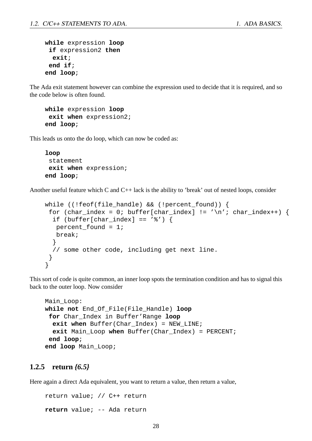```
while expression loop
 if expression2 then
  exit;
 end if;
end loop;
```
The Ada exit statement however can combine the expression used to decide that it is required, and so the code below is often found.

```
while expression loop
 exit when expression2;
end loop;
```
This leads us onto the do loop, which can now be coded as:

```
loop
 statement
 exit when expression;
end loop;
```
Another useful feature which C and C++ lack is the ability to 'break' out of nested loops, consider

```
while ((!feof(file_handle) && (!percent_found)) {
 for (char_index = 0; buffer[char_index] != '\n'; char_index++) {
  if (buffer[char index] == '%') {
   percent found = 1;break;
  }
  // some other code, including get next line.
 }
}
```
This sort of code is quite common, an inner loop spots the termination condition and has to signal this back to the outer loop. Now consider

```
Main_Loop:
while not End_Of_File(File_Handle) loop
 for Char_Index in Buffer'Range loop
  exit when Buffer(Char Index) = NEW LINE;
  exit Main_Loop when Buffer(Char_Index) = PERCENT;
 end loop;
end loop Main_Loop;
```
#### **1.2.5 return** *{6.5}*

Here again a direct Ada equivalent, you want to return a value, then return a value,

return value; // C++ return **return** value; -- Ada return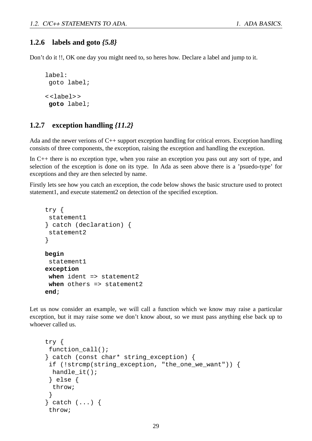#### **1.2.6 labels and goto** *{5.8}*

Don't do it !!, OK one day you might need to, so heres how. Declare a label and jump to it.

```
label:
 goto label;
< <label> >
 goto label;
```
#### **1.2.7 exception handling** *{11.2}*

Ada and the newer verions of C++ support exception handling for critical errors. Exception handling consists of three components, the exception, raising the exception and handling the exception.

In C++ there is no exception type, when you raise an exception you pass out any sort of type, and selection of the exception is done on its type. In Ada as seen above there is a 'psuedo-type' for exceptions and they are then selected by name.

Firstly lets see how you catch an exception, the code below shows the basic structure used to protect statement1, and execute statement2 on detection of the specified exception.

```
try {
 statement1
} catch (declaration) {
 statement<sub>2</sub>
}
begin
 statement1
exception
 when ident => statement2
 when others => statement2
end;
```
Let us now consider an example, we will call a function which we know may raise a particular exception, but it may raise some we don't know about, so we must pass anything else back up to whoever called us.

```
try {
 function_call();
} catch (const char* string_exception) {
 if (!strcmp(string_exception, "the_one_we_want")) {
 handle_it();
 } else {
 throw;
 }
} catch (...) {
throw;
```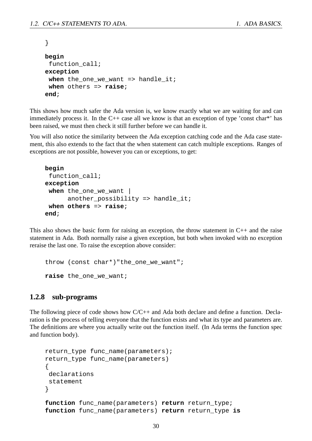```
}
begin
 function call;
exception
 when the_one_we_want => handle_it;
 when others => raise;
end;
```
This shows how much safer the Ada version is, we know exactly what we are waiting for and can immediately process it. In the  $C++$  case all we know is that an exception of type 'const char\*' has been raised, we must then check it still further before we can handle it.

You will also notice the similarity between the Ada exception catching code and the Ada case statement, this also extends to the fact that the when statement can catch multiple exceptions. Ranges of exceptions are not possible, however you can or exceptions, to get:

```
begin
 function call;
exception
when the_one_we_want |
      another_possibility => handle_it;
when others => raise;
end;
```
This also shows the basic form for raising an exception, the throw statement in C++ and the raise statement in Ada. Both normally raise a given exception, but both when invoked with no exception reraise the last one. To raise the exception above consider:

```
throw (const char*)"the_one_we_want";
raise the_one_we_want;
```
#### **1.2.8 sub-programs**

The following piece of code shows how C/C++ and Ada both declare and define a function. Declaration is the process of telling everyone that the function exists and what its type and parameters are. The definitions are where you actually write out the function itself. (In Ada terms the function spec and function body).

```
return_type func_name(parameters);
return_type func_name(parameters)
{
declarations
statement
}
function func_name(parameters) return return_type;
function func_name(parameters) return return_type is
```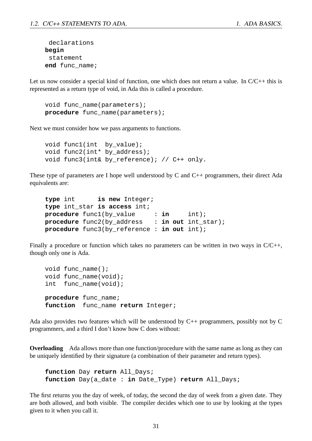```
declarations
begin
 statement
end func_name;
```
Let us now consider a special kind of function, one which does not return a value. In  $C/C++$  this is represented as a return type of void, in Ada this is called a procedure.

```
void func name(parameters);
procedure func_name(parameters);
```
Next we must consider how we pass arguments to functions.

```
void func1(int by_value);
void func2(int* by_address);
void func3(int& by_reference); // C++ only.
```
These type of parameters are I hope well understood by C and  $C_{++}$  programmers, their direct Ada equivalents are:

```
type int is new Integer;
type int_star is access int;
procedure func1(by_value : in int);
procedure func2(by_address : in out int_star);
procedure func3(by_reference : in out int);
```
Finally a procedure or function which takes no parameters can be written in two ways in  $C/C_{++}$ , though only one is Ada.

```
void func_name();
void func_name(void);
int func_name(void);
procedure func_name;
function func_name return Integer;
```
Ada also provides two features which will be understood by  $C_{++}$  programmers, possibly not by C programmers, and a third I don't know how C does without:

**Overloading** Ada allows more than one function/procedure with the same name as long as they can be uniquely identified by their signature (a combination of their parameter and return types).

```
function Day return All_Days;
function Day(a_date : in Date_Type) return All_Days;
```
The first returns you the day of week, of today, the second the day of week from a given date. They are both allowed, and both visible. The compiler decides which one to use by looking at the types given to it when you call it.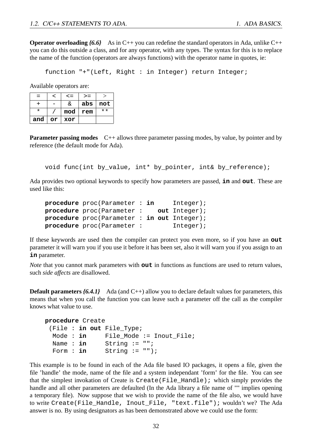**Operator overloading**  ${6.6}$  As in C++ you can redefine the standard operators in Ada, unlike C++ you can do this outside a class, and for any operator, with any types. The syntax for this is to replace the name of the function (operators are always functions) with the operator name in quotes, ie:

function "+"(Left, Right : in Integer) return Integer;

Available operators are:

| $=$ | ╭  | $\leq$ $=$ | $>=$ |              |
|-----|----|------------|------|--------------|
|     |    | &.         | abs  | not          |
| *   |    | mod        | rem  | $\star\star$ |
| and | or | xor        |      |              |

**Parameter passing modes** C++ allows three parameter passing modes, by value, by pointer and by reference (the default mode for Ada).

void func(int by\_value, int\* by\_pointer, int& by\_reference);

Ada provides two optional keywords to specify how parameters are passed, **in** and **out**. These are used like this:

```
procedure proc(Parameter : in Integer);
procedure proc(Parameter : out Integer);
procedure proc(Parameter : in out Integer);
procedure proc(Parameter : Integer);
```
If these keywords are used then the compiler can protect you even more, so if you have an **out** parameter it will warn you if you use it before it has been set, also it will warn you if you assign to an **in** parameter.

*Note* that you cannot mark parameters with **out** in functions as functions are used to return values, such *side affects* are disallowed.

**Default parameters** *{6.4.1}* Ada (and C++) allow you to declare default values for parameters, this means that when you call the function you can leave such a parameter off the call as the compiler knows what value to use.

```
procedure Create
 (File : in out File_Type;
 Mode : in File Mode := Inout File;
 Name : in String := "";
 Form : in String := ";
```
This example is to be found in each of the Ada file based IO packages, it opens a file, given the file 'handle' the mode, name of the file and a system independant 'form' for the file. You can see that the simplest invokation of Create is Create(File\_Handle); which simply provides the handle and all other parameters are defaulted (In the Ada library a file name of "" implies opening a temporary file). Now suppose that we wish to provide the name of the file also, we would have to write Create(File\_Handle, Inout\_File, "text.file"); wouldn't we? The Ada answer is no. By using designators as has been demonstrated above we could use the form: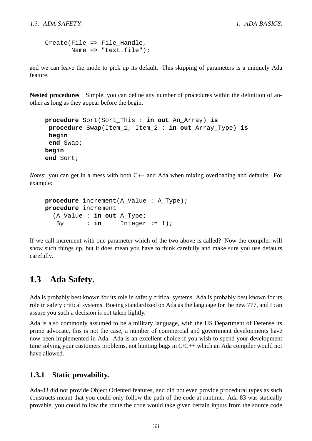```
Create(File => File Handle,
       Name => "text.file");
```
and we can leave the mode to pick up its default. This skipping of parameters is a uniquely Ada feature.

**Nested procedures** Simple, you can define any number of procedures within the definition of another as long as they appear before the begin.

```
procedure Sort(Sort_This : in out An_Array) is
 procedure Swap(Item_1, Item_2 : in out Array_Type) is
begin
 end Swap;
begin
end Sort;
```
*Notes*: you can get in a mess with both C++ and Ada when mixing overloading and defaults. For example:

```
procedure increment(A_Value : A_Type);
procedure increment
  (A_Value : in out A_Type;
  By : in Integer := 1);
```
If we call increment with one parameter which of the two above is called? Now the compiler will show such things up, but it does mean you have to think carefully and make sure you use defaults carefully.

#### **1.3 Ada Safety.**

Ada is probably best known for its role in safetly critical systems. Ada is probably best known for its role in safety critical systems. Boeing standardized on Ada as the language for the new 777, and I can assure you such a decision is not taken lightly.

Ada is also commonly assumed to be a military language, with the US Department of Defense its prime advocate, this is not the case, a number of commercial and government developments have now been implemented in Ada. Ada is an excellent choice if you wish to spend your development time solving your customers problems, not hunting bugs in C/C++ which an Ada compiler would not have allowed.

#### **1.3.1 Static provability.**

Ada-83 did not provide Object Oriented features, and did not even provide procedural types as such constructs meant that you could only follow the path of the code at runtime. Ada-83 was statically provable, you could follow the route the code would take given certain inputs from the source code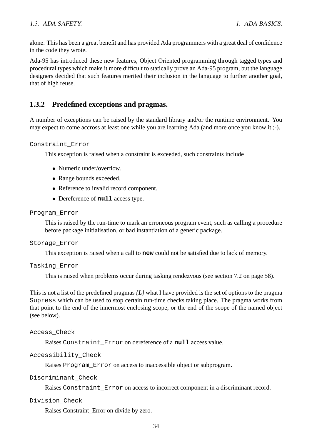alone. This has been a great benefit and has provided Ada programmers with a great deal of confidence in the code they wrote.

Ada-95 has introduced these new features, Object Oriented programming through tagged types and procedural types which make it more difficult to statically prove an Ada-95 program, but the language designers decided that such features merited their inclusion in the language to further another goal, that of high reuse.

#### **1.3.2 Predefined exceptions and pragmas.**

A number of exceptions can be raised by the standard library and/or the runtime environment. You may expect to come accross at least one while you are learning Ada (and more once you know it ;-).

Constraint\_Error

This exception is raised when a constraint is exceeded, such constraints include

- Numeric under/overflow.
- Range bounds exceeded.
- Reference to invalid record component.
- Dereference of **null** access type.

#### Program\_Error

This is raised by the run-time to mark an erroneous program event, such as calling a procedure before package initialisation, or bad instantiation of a generic package.

#### Storage\_Error

This exception is raised when a call to **new** could not be satisfied due to lack of memory.

```
Tasking_Error
```
This is raised when problems occur during tasking rendezvous (see section 7.2 on page 58).

This is not a list of the predefined pragmas *{L}* what I have provided is the set of options to the pragma Supress which can be used to stop certain run-time checks taking place. The pragma works from that point to the end of the innermost enclosing scope, or the end of the scope of the named object (see below).

Access\_Check

Raises Constraint\_Error on dereference of a **null** access value.

#### Accessibility\_Check

Raises Program\_Error on access to inaccessible object or subprogram.

Discriminant\_Check

Raises Constraint Error on access to incorrect component in a discriminant record.

#### Division\_Check

Raises Constraint\_Error on divide by zero.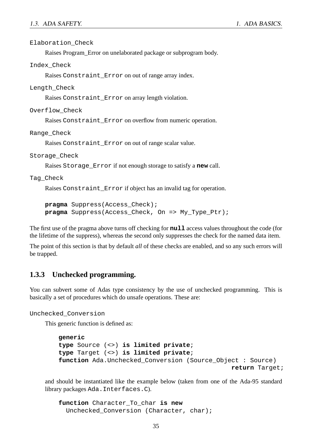Elaboration\_Check

Raises Program\_Error on unelaborated package or subprogram body.

Index\_Check

Raises Constraint\_Error on out of range array index.

Length\_Check

Raises Constraint\_Error on array length violation.

Overflow\_Check

Raises Constraint\_Error on overflow from numeric operation.

Range\_Check

Raises Constraint\_Error on out of range scalar value.

Storage Check

Raises Storage\_Error if not enough storage to satisfy a **new** call.

Tag\_Check

Raises Constraint\_Error if object has an invalid tag for operation.

**pragma** Suppress(Access\_Check); **pragma** Suppress(Access\_Check, On => My\_Type\_Ptr);

The first use of the pragma above turns off checking for **null** access values throughout the code (for the lifetime of the suppress), whereas the second only suppresses the check for the named data item.

The point of this section is that by default *all* of these checks are enabled, and so any such errors will be trapped.

#### **1.3.3 Unchecked programming.**

You can subvert some of Adas type consistency by the use of unchecked programming. This is basically a set of procedures which do unsafe operations. These are:

Unchecked\_Conversion

This generic function is defined as:

```
generic
type Source (<>) is limited private;
type Target (<>) is limited private;
function Ada.Unchecked Conversion (Source Object : Source)
                                               return Target;
```
and should be instantiated like the example below (taken from one of the Ada-95 standard library packages Ada.Interfaces.C).

```
function Character_To_char is new
  Unchecked_Conversion (Character, char);
```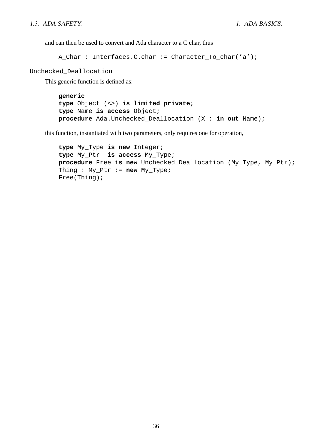and can then be used to convert and Ada character to a C char, thus

```
A Char : Interfaces.C.char := Character To char('a');
```
Unchecked\_Deallocation

This generic function is defined as:

```
generic
type Object (<>) is limited private;
type Name is access Object;
procedure Ada.Unchecked_Deallocation (X : in out Name);
```
this function, instantiated with two parameters, only requires one for operation,

```
type My_Type is new Integer;
type My_Ptr is access My_Type;
procedure Free is new Unchecked_Deallocation (My_Type, My_Ptr);
Thing : My_Ptr := new My_Type;
Free(Thing);
```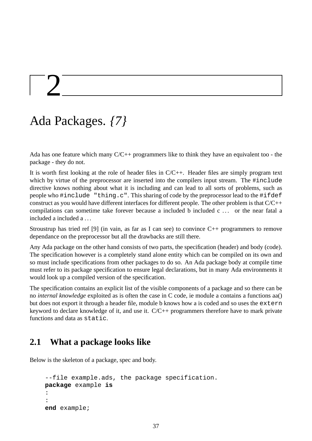## $\frac{1}{2}$

## Ada Packages. *{7}*

Ada has one feature which many C/C++ programmers like to think they have an equivalent too - the package - they do not.

It is worth first looking at the role of header files in C/C++. Header files are simply program text which by virtue of the preprocessor are inserted into the compilers input stream. The #include directive knows nothing about what it is including and can lead to all sorts of problems, such as people who #include "thing.c". This sharing of code by the preprocessor lead to the #ifdef construct as you would have different interfaces for different people. The other problem is that C/C++ compilations can sometime take forever because a included b included c ... or the near fatal a included a included a . . .

Stroustrup has tried ref [9] (in vain, as far as I can see) to convince  $C_{++}$  programmers to remove dependance on the preprocessor but all the drawbacks are still there.

Any Ada package on the other hand consists of two parts, the specification (header) and body (code). The specification however is a completely stand alone entity which can be compiled on its own and so must include specifications from other packages to do so. An Ada package body at compile time must refer to its package specification to ensure legal declarations, but in many Ada environments it would look up a compiled version of the specification.

The specification contains an explicit list of the visible components of a package and so there can be no *internal knowledge* exploited as is often the case in C code, ie module a contains a functions aa() but does not export it through a header file, module b knows how a is coded and so uses the extern keyword to declare knowledge of it, and use it. C/C++ programmers therefore have to mark private functions and data as static.

#### **2.1 What a package looks like**

Below is the skeleton of a package, spec and body.

```
--file example.ads, the package specification.
package example is
:
:
end example;
```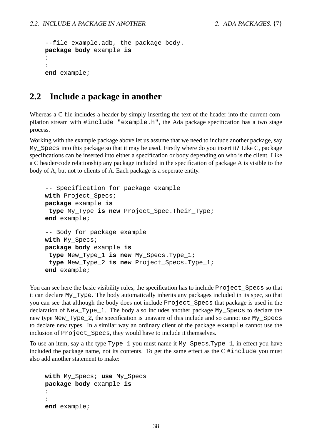```
--file example.adb, the package body.
package body example is
:
:
end example;
```
#### **2.2 Include a package in another**

Whereas a C file includes a header by simply inserting the text of the header into the current compilation stream with #include "example.h", the Ada package specification has a two stage process.

Working with the example package above let us assume that we need to include another package, say My  $S$ pecs into this package so that it may be used. Firstly where do you insert it? Like C, package specifications can be inserted into either a specification or body depending on who is the client. Like a C header/code relationship any package included in the specification of package A is visible to the body of A, but not to clients of A. Each package is a seperate entity.

```
-- Specification for package example
with Project_Specs;
package example is
 type My_Type is new Project_Spec.Their_Type;
end example;
-- Body for package example
with My_Specs;
package body example is
 type New_Type_1 is new My_Specs.Type_1;
 type New_Type_2 is new Project_Specs.Type_1;
end example;
```
You can see here the basic visibility rules, the specification has to include Project Specs so that it can declare My\_Type. The body automatically inherits any packages included in its spec, so that you can see that although the body does not include Project\_Specs that package is used in the declaration of New\_Type\_1. The body also includes another package My\_Specs to declare the new type New Type 2, the specification is unaware of this include and so cannot use My Specs to declare new types. In a similar way an ordinary client of the package example cannot use the inclusion of Project\_Specs, they would have to include it themselves.

To use an item, say a the type Type 1 you must name it My Specs.Type 1, in effect you have included the package name, not its contents. To get the same effect as the C #include you must also add another statement to make:

```
with My_Specs; use My_Specs
package body example is
:
:
end example;
```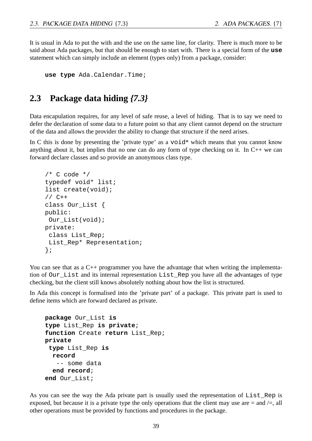It is usual in Ada to put the with and the use on the same line, for clarity. There is much more to be said about Ada packages, but that should be enough to start with. There is a special form of the **use** statement which can simply include an element (types only) from a package, consider:

```
use type Ada.Calendar.Time;
```
#### **2.3 Package data hiding** *{7.3}*

Data encapulation requires, for any level of safe reuse, a level of hiding. That is to say we need to defer the declaration of some data to a future point so that any client cannot depend on the structure of the data and allows the provider the ability to change that structure if the need arises.

In C this is done by presenting the 'private type' as a  $\text{void}^*$  which means that you cannot know anything about it, but implies that no one can do any form of type checking on it. In  $C_{++}$  we can forward declare classes and so provide an anonymous class type.

```
/* C code */typedef void* list;
list create(void);
// C++
class Our_List {
public:
Our_List(void);
private:
 class List_Rep;
List_Rep* Representation;
};
```
You can see that as a C++ programmer you have the advantage that when writing the implementation of Our\_List and its internal representation List\_Rep you have all the advantages of type checking, but the client still knows absolutely nothing about how the list is structured.

In Ada this concept is formalised into the 'private part' of a package. This private part is used to define items which are forward declared as private.

```
package Our_List is
type List_Rep is private;
function Create return List_Rep;
private
 type List_Rep is
  record
   -- some data
  end record;
end Our_List;
```
As you can see the way the Ada private part is usually used the representation of List\_Rep is exposed, but because it is a private type the only operations that the client may use are  $=$  and  $/=$ , all other operations must be provided by functions and procedures in the package.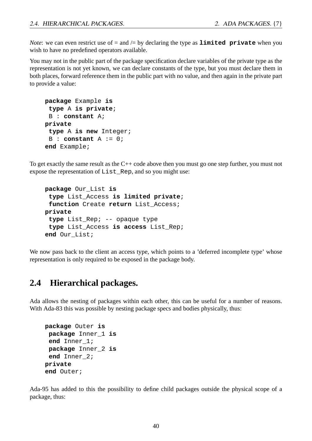*Note*: we can even restrict use of  $=$  and  $/=$  by declaring the type as **limited private** when you wish to have no predefined operators available.

You may not in the public part of the package specification declare variables of the private type as the representation is not yet known, we can declare constants of the type, but you must declare them in both places, forward reference them in the public part with no value, and then again in the private part to provide a value:

```
package Example is
 type A is private;
B : constant A;
private
 type A is new Integer;
B : constant A := 0;
end Example;
```
To get exactly the same result as the C++ code above then you must go one step further, you must not expose the representation of List\_Rep, and so you might use:

```
package Our_List is
 type List_Access is limited private;
 function Create return List_Access;
private
 type List_Rep; -- opaque type
 type List_Access is access List_Rep;
end Our_List;
```
We now pass back to the client an access type, which points to a 'deferred incomplete type' whose representation is only required to be exposed in the package body.

#### **2.4 Hierarchical packages.**

Ada allows the nesting of packages within each other, this can be useful for a number of reasons. With Ada-83 this was possible by nesting package specs and bodies physically, thus:

```
package Outer is
package Inner_1 is
end Inner_1;
package Inner_2 is
end Inner_2;
private
end Outer;
```
Ada-95 has added to this the possibility to define child packages outside the physical scope of a package, thus: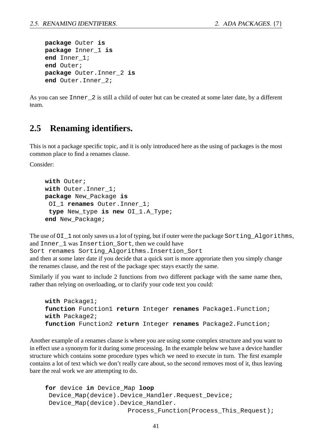```
package Outer is
package Inner_1 is
end Inner_1;
end Outer;
package Outer.Inner_2 is
end Outer.Inner_2;
```
As you can see Inner\_2 is still a child of outer but can be created at some later date, by a different team.

#### **2.5 Renaming identifiers.**

This is not a package specific topic, and it is only introduced here as the using of packages is the most common place to find a renames clause.

Consider:

```
with Outer;
with Outer.Inner_1;
package New_Package is
 OI_1 renames Outer.Inner_1;
 type New_type is new OI_1.A_Type;
end New_Package;
```
The use of  $OI_1$  not only saves us a lot of typing, but if outer were the package Sorting Algorithms, and Inner\_1 was Insertion\_Sort, then we could have

Sort renames Sorting\_Algorithms.Insertion\_Sort

and then at some later date if you decide that a quick sort is more approriate then you simply change the renames clause, and the rest of the package spec stays exactly the same.

Similarly if you want to include 2 functions from two different package with the same name then, rather than relying on overloading, or to clarify your code text you could:

```
with Package1;
function Function1 return Integer renames Package1.Function;
with Package2;
function Function2 return Integer renames Package2.Function;
```
Another example of a renames clause is where you are using some complex structure and you want to in effect use a synonym for it during some processing. In the example below we have a device handler structure which contains some procedure types which we need to execute in turn. The first example contains a lot of text which we don't really care about, so the second removes most of it, thus leaving bare the real work we are attempting to do.

```
for device in Device_Map loop
 Device_Map(device).Device_Handler.Request_Device;
Device_Map(device).Device_Handler.
                      Process_Function(Process_This_Request);
```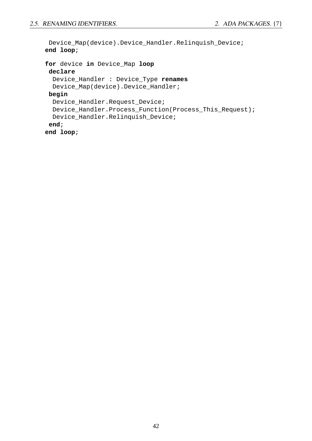```
Device_Map(device).Device_Handler.Relinquish_Device;
end loop;
for device in Device_Map loop
declare
  Device_Handler : Device_Type renames
 Device_Map(device).Device_Handler;
begin
  Device_Handler.Request_Device;
 Device_Handler.Process_Function(Process_This_Request);
 Device_Handler.Relinquish_Device;
end;
end loop;
```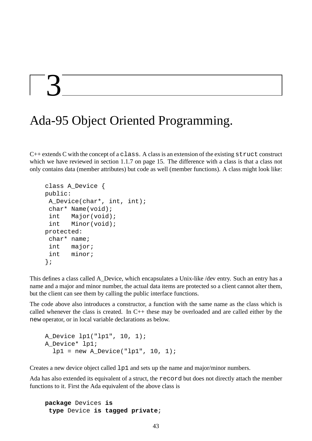## $\mathcal{L}$

## Ada-95 Object Oriented Programming.

 $C++$  extends C with the concept of a class. A class is an extension of the existing struct construct which we have reviewed in section 1.1.7 on page 15. The difference with a class is that a class not only contains data (member attributes) but code as well (member functions). A class might look like:

```
class A_Device {
public:
 A_Device(char*, int, int);
 char* Name(void);
 int Major(void);
 int Minor(void);
protected:
 char* name;
 int major;
 int minor;
};
```
This defines a class called A\_Device, which encapsulates a Unix-like /dev entry. Such an entry has a name and a major and minor number, the actual data items are protected so a client cannot alter them, but the client can see them by calling the public interface functions.

The code above also introduces a constructor, a function with the same name as the class which is called whenever the class is created. In C++ these may be overloaded and are called either by the new operator, or in local variable declarations as below.

```
A_Device lp1("lp1", 10, 1);
A_Device* lp1;
  1p1 = new A\_Device("lp1", 10, 1);
```
Creates a new device object called lp1 and sets up the name and major/minor numbers.

Ada has also extended its equivalent of a struct, the record but does not directly attach the member functions to it. First the Ada equivalent of the above class is

```
package Devices is
 type Device is tagged private;
```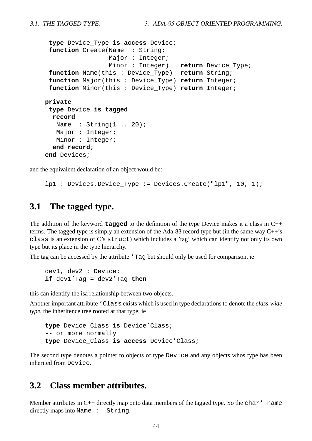```
type Device_Type is access Device;
 function Create(Name : String;
                 Major : Integer;
                 Minor : Integer) return Device_Type;
 function Name(this : Device_Type) return String;
 function Major(this : Device_Type) return Integer;
 function Minor(this : Device_Type) return Integer;
private
 type Device is tagged
  record
  Name : String(1 .. 20);
  Major : Integer;
  Minor : Integer;
  end record;
end Devices;
```
and the equivalent declaration of an object would be:

lp1 : Devices.Device\_Type := Devices.Create("lp1", 10, 1);

#### **3.1 The tagged type.**

The addition of the keyword **tagged** to the definition of the type Device makes it a class in C++ terms. The tagged type is simply an extension of the Ada-83 record type but (in the same way C++'s class is an extension of C's struct) which includes a 'tag' which can identify not only its own type but its place in the type hierarchy.

The tag can be accessed by the attribute 'Tag but should only be used for comparison, ie

dev1, dev2 : Device; **if** dev1'Tag = dev2'Tag **then**

this can identify the isa relationship between two objects.

Another important attribute 'Class exists which is used in type declarations to denote the *class-wide type*, the inheritence tree rooted at that type, ie

```
type Device_Class is Device'Class;
-- or more normally
type Device_Class is access Device'Class;
```
The second type denotes a pointer to objects of type Device and any objects whos type has been inherited from Device.

#### **3.2 Class member attributes.**

Member attributes in C++ directly map onto data members of the tagged type. So the char\* name directly maps into Name : String.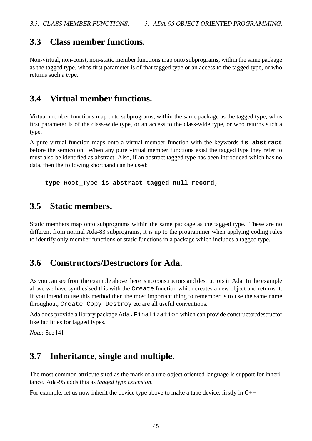#### **3.3 Class member functions.**

Non-virtual, non-const, non-static member functions map onto subprograms, within the same package as the tagged type, whos first parameter is of that tagged type or an access to the tagged type, or who returns such a type.

#### **3.4 Virtual member functions.**

Virtual member functions map onto subprograms, within the same package as the tagged type, whos first parameter is of the class-wide type, or an access to the class-wide type, or who returns such a type.

A pure virtual function maps onto a virtual member function with the keywords **is abstract** before the semicolon. When any pure virtual member functions exist the tagged type they refer to must also be identified as abstract. Also, if an abstract tagged type has been introduced which has no data, then the following shorthand can be used:

**type** Root\_Type **is abstract tagged null record**;

#### **3.5 Static members.**

Static members map onto subprograms within the same package as the tagged type. These are no different from normal Ada-83 subprograms, it is up to the programmer when applying coding rules to identify only member functions or static functions in a package which includes a tagged type.

#### **3.6 Constructors/Destructors for Ada.**

As you can see from the example above there is no constructors and destructors in Ada. In the example above we have synthesised this with the Create function which creates a new object and returns it. If you intend to use this method then the most important thing to remember is to use the same name throughout, Create Copy Destroy etc are all useful conventions.

Ada does provide a library package Ada.Finalization which can provide constructor/destructor like facilities for tagged types.

*Note*: See [4].

#### **3.7 Inheritance, single and multiple.**

The most common attribute sited as the mark of a true object oriented language is support for inheritance. Ada-95 adds this as *tagged type extension*.

For example, let us now inherit the device type above to make a tape device, firstly in C++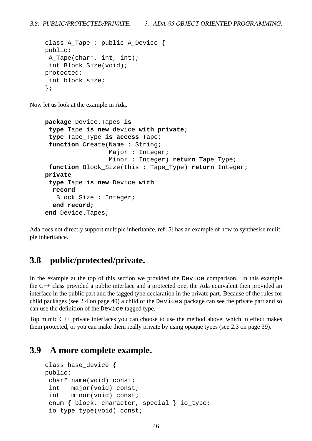```
class A_Tape : public A_Device {
public:
A Tape(char*, int, int);
 int Block_Size(void);
protected:
 int block_size;
};
```
Now let us look at the example in Ada.

```
package Device.Tapes is
 type Tape is new device with private;
 type Tape_Type is access Tape;
 function Create(Name : String;
                 Major : Integer;
                 Minor : Integer) return Tape_Type;
 function Block_Size(this : Tape_Type) return Integer;
private
 type Tape is new Device with
  record
   Block_Size : Integer;
  end record;
end Device.Tapes;
```
Ada does not directly support multiple inheritance, ref [5] has an example of how to synthesise mulitple inheritance.

#### **3.8 public/protected/private.**

In the example at the top of this section we provided the Device comparison. In this example the C++ class provided a public interface and a protected one, the Ada equivalent then provided an interface in the public part and the tagged type declaration in the private part. Because of the rules for child packages (see 2.4 on page 40) a child of the Devices package can see the private part and so can use the definition of the Device tagged type.

Top mimic C++ private interfaces you can choose to use the method above, which in effect makes them protected, or you can make them really private by using opaque types (see 2.3 on page 39).

#### **3.9 A more complete example.**

```
class base_device {
public:
 char* name(void) const;
 int major(void) const;
 int minor(void) const;
 enum { block, character, special } io_type;
 io_type type(void) const;
```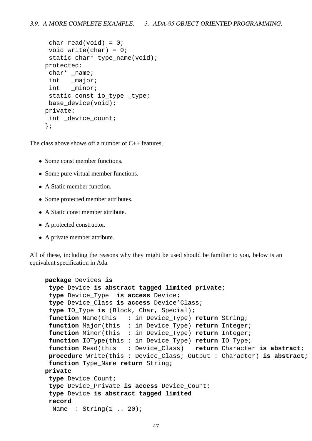```
char read(void) = 0;
 void write(char) = 0;
 static char* type name(void);
protected:
 char* _name;
 int major;
 int minor;
 static const io_type _type;
 base_device(void);
private:
 int device count;
};
```
The class above shows off a number of  $C_{++}$  features,

- Some const member functions.
- Some pure virtual member functions.
- A Static member function.
- Some protected member attributes.
- A Static const member attribute.
- A protected constructor.
- A private member attribute.

All of these, including the reasons why they might be used should be familiar to you, below is an equivalent specification in Ada.

```
package Devices is
 type Device is abstract tagged limited private;
 type Device_Type is access Device;
 type Device_Class is access Device'Class;
 type IO_Type is (Block, Char, Special);
 function Name(this : in Device_Type) return String;
 function Major(this : in Device_Type) return Integer;
 function Minor(this : in Device_Type) return Integer;
 function IOType(this : in Device_Type) return IO_Type;
 function Read(this : Device_Class) return Character is abstract;
procedure Write(this : Device_Class; Output : Character) is abstract;
 function Type_Name return String;
private
 type Device_Count;
 type Device_Private is access Device_Count;
 type Device is abstract tagged limited
 record
  Name : String(1 .. 20);
```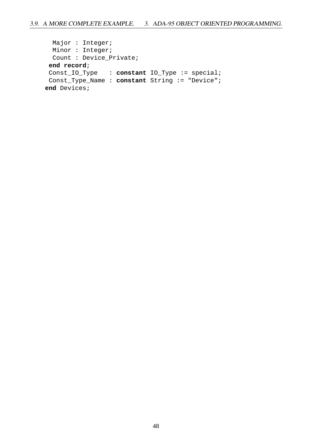```
Major : Integer;
 Minor : Integer;
 Count : Device_Private;
end record;
Const_IO_Type : constant IO_Type := special;
Const_Type_Name : constant String := "Device";
end Devices;
```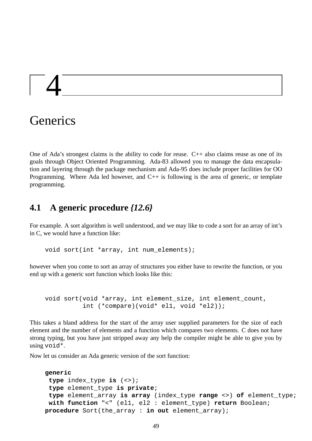# 4

## **Generics**

One of Ada's strongest claims is the ability to code for reuse.  $C_{++}$  also claims reuse as one of its goals through Object Oriented Programming. Ada-83 allowed you to manage the data encapsulation and layering through the package mechanism and Ada-95 does include proper facilities for OO Programming. Where Ada led however, and C++ is following is the area of generic, or template programming.

#### **4.1 A generic procedure** *{12.6}*

For example. A sort algorithm is well understood, and we may like to code a sort for an array of int's in C, we would have a function like:

void sort(int \*array, int num\_elements);

however when you come to sort an array of structures you either have to rewrite the function, or you end up with a generic sort function which looks like this:

void sort(void \*array, int element\_size, int element\_count, int (\*compare)(void\* el1, void \*el2));

This takes a bland address for the start of the array user supplied parameters for the size of each element and the number of elements and a function which compares two elements. C does not have strong typing, but you have just stripped away any help the compiler might be able to give you by using void\*.

Now let us consider an Ada generic version of the sort function:

```
generic
 type index_type is (<>);
 type element_type is private;
 type element_array is array (index_type range <>) of element_type;
 with function "<" (el1, el2 : element_type) return Boolean;
procedure Sort(the_array : in out element_array);
```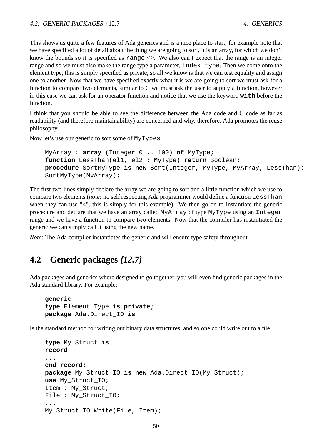This shows us quite a few features of Ada generics and is a nice place to start, for example note that we have specified a lot of detail about the thing we are going to sort, it is an array, for which we don't know the bounds so it is specified as range  $\Diamond$ . We also can't expect that the range is an integer range and so we must also make the range type a parameter, index\_type. Then we come onto the element type, this is simply specified as private, so all we know is that we can test equality and assign one to another. Now that we have specified exactly what it is we are going to sort we must ask for a function to compare two elements, similar to C we must ask the user to supply a function, however in this case we can ask for an operator function and notice that we use the keyword **with** before the function.

I think that you should be able to see the difference between the Ada code and C code as far as readability (and therefore maintainability) are concerned and why, therefore, Ada promotes the reuse philosophy.

Now let's use our generic to sort some of MyTypes.

```
MyArray : array (Integer 0 .. 100) of MyType;
function LessThan(el1, el2 : MyType) return Boolean;
procedure SortMyType is new Sort(Integer, MyType, MyArray, LessThan);
SortMyType(MyArray);
```
The first two lines simply declare the array we are going to sort and a little function which we use to compare two elements (*note*: no self respecting Ada programmer would define a function LessThan when they can use "<", this is simply for this example). We then go on to instantiate the generic procedure and declare that we have an array called MyArray of type MyType using an Integer range and we have a function to compare two elements. Now that the compiler has instantiated the generic we can simply call it using the new name.

*Note*: The Ada compiler instantiates the generic and will ensure type safety throughout.

#### **4.2 Generic packages** *{12.7}*

Ada packages and generics where designed to go together, you will even find generic packages in the Ada standard library. For example:

```
generic
type Element_Type is private;
package Ada.Direct_IO is
```
Is the standard method for writing out binary data structures, and so one could write out to a file:

```
type My_Struct is
record
...
end record;
package My_Struct_IO is new Ada.Direct_IO(My_Struct);
use My_Struct_IO;
Item : My_Struct;
File : My_Struct_IO;
...
My_Struct_IO.Write(File, Item);
```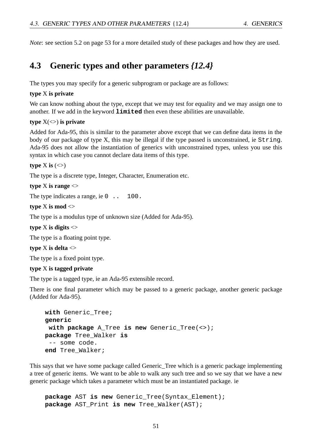*Note*: see section 5.2 on page 53 for a more detailed study of these packages and how they are used.

#### **4.3 Generic types and other parameters** *{12.4}*

The types you may specify for a generic subprogram or package are as follows:

#### **type** X **is private**

We can know nothing about the type, except that we may test for equality and we may assign one to another. If we add in the keyword **limited** then even these abilities are unavailable.

#### **type** X(<>) **is private**

Added for Ada-95, this is similar to the parameter above except that we can define data items in the body of our package of type X, this may be illegal if the type passed is unconstrained, ie String. Ada-95 does not allow the instantiation of generics with unconstrained types, unless you use this syntax in which case you cannot declare data items of this type.

#### **type** X **is**  $(\le)$

The type is a discrete type, Integer, Character, Enumeration etc.

**type** X **is range** <>

The type indicates a range, ie 0 . . 100.

#### **type** X **is mod** <>

The type is a modulus type of unknown size (Added for Ada-95).

**type** X **is digits** <>

The type is a floating point type.

**type** X is delta  $\ll$ 

The type is a fixed point type.

#### **type** X **is tagged private**

The type is a tagged type, ie an Ada-95 extensible record.

There is one final parameter which may be passed to a generic package, another generic package (Added for Ada-95).

```
with Generic_Tree;
generic
with package A_Tree is new Generic_Tree(<>);
package Tree_Walker is
 -- some code.
end Tree_Walker;
```
This says that we have some package called Generic Tree which is a generic package implementing a tree of generic items. We want to be able to walk any such tree and so we say that we have a new generic package which takes a parameter which must be an instantiated package. ie

**package** AST **is new** Generic\_Tree(Syntax\_Element); **package** AST\_Print **is new** Tree\_Walker(AST);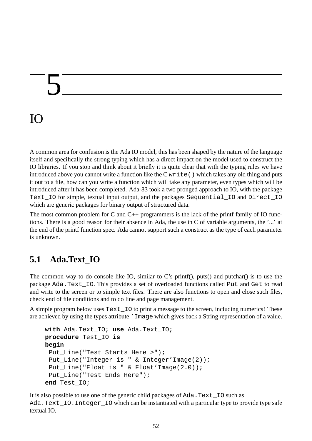# 5

## IO

A common area for confusion is the Ada IO model, this has been shaped by the nature of the language itself and specifically the strong typing which has a direct impact on the model used to construct the IO libraries. If you stop and think about it briefly it is quite clear that with the typing rules we have introduced above you cannot write a function like the  $C$  write () which takes any old thing and puts it out to a file, how can you write a function which will take any parameter, even types which will be introduced after it has been completed. Ada-83 took a two pronged approach to IO, with the package Text IO for simple, textual input output, and the packages Sequential\_IO and Direct\_IO which are generic packages for binary output of structured data.

The most common problem for C and  $C_{++}$  programmers is the lack of the printf family of IO functions. There is a good reason for their absence in Ada, the use in C of variable arguments, the '...' at the end of the printf function spec. Ada cannot support such a construct as the type of each parameter is unknown.

### **5.1 Ada.Text\_IO**

The common way to do console-like IO, similar to C's printf(), puts() and putchar() is to use the package Ada.Text\_IO. This provides a set of overloaded functions called Put and Get to read and write to the screen or to simple text files. There are also functions to open and close such files, check end of file conditions and to do line and page management.

A simple program below uses Text\_IO to print a message to the screen, including numerics! These are achieved by using the types attribute 'Image which gives back a String representation of a value.

```
with Ada.Text_IO; use Ada.Text_IO;
procedure Test_IO is
begin
 Put_Line("Test Starts Here >");
 Put Line("Integer is " & Integer'Image(2));
 Put_Line("Float is " & Float'Image(2.0));
 Put_Line("Test Ends Here");
end Test_IO;
```
It is also possible to use one of the generic child packages of Ada.Text\_IO such as Ada. Text IO. Integer IO which can be instantiated with a particular type to provide type safe textual IO.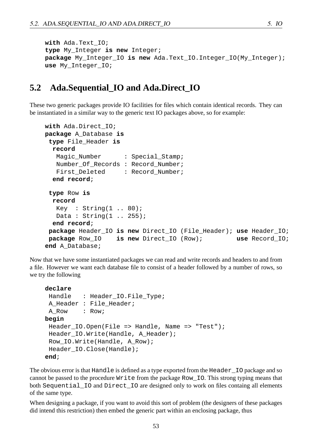```
with Ada.Text_IO;
type My_Integer is new Integer;
package My_Integer_IO is new Ada.Text_IO.Integer_IO(My_Integer);
use My_Integer_IO;
```
#### **5.2 Ada.Sequential\_IO and Ada.Direct\_IO**

These two generic packages provide IO facilities for files which contain identical records. They can be instantiated in a similar way to the generic text IO packages above, so for example:

```
with Ada.Direct_IO;
package A_Database is
 type File_Header is
 record
  Magic_Number : Special_Stamp;
  Number Of Records : Record Number;
   First Deleted : Record Number;
  end record;
 type Row is
 record
  Key : String(1.. 80);
  Data : String(1 .. 255);
  end record;
package Header_IO is new Direct_IO (File_Header); use Header_IO;
 package Row_IO is new Direct_IO (Row); use Record_IO;
end A_Database;
```
Now that we have some instantiated packages we can read and write records and headers to and from a file. However we want each database file to consist of a header followed by a number of rows, so we try the following

```
declare
Handle : Header IO.File Type;
 A_Header : File_Header;
 A Row : Row;
begin
 Header IO.Open(File => Handle, Name => "Test");Header_IO.Write(Handle, A_Header);
 Row IO.Write(Handle, A Row);
 Header_IO.Close(Handle);
end;
```
The obvious error is that Handle is defined as a type exported from the Header IO package and so cannot be passed to the procedure Write from the package Row\_IO. This strong typing means that both Sequential\_IO and Direct\_IO are designed only to work on files containg all elements of the same type.

When designing a package, if you want to avoid this sort of problem (the designers of these packages did intend this restriction) then embed the generic part within an enclosing package, thus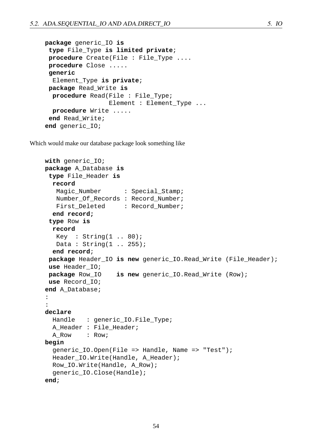```
package generic_IO is
 type File_Type is limited private;
procedure Create(File : File_Type ....
procedure Close .....
generic
  Element_Type is private;
package Read_Write is
  procedure Read(File : File_Type;
                 Element : Element_Type ...
  procedure Write .....
 end Read_Write;
end generic_IO;
```
Which would make our database package look something like

```
with generic_IO;
package A_Database is
 type File_Header is
  record
   Magic_Number : Special_Stamp;
  Number_Of_Records : Record_Number;
   First_Deleted : Record_Number;
  end record;
 type Row is
  record
  Key : String(1 .. 80);Data : String(1 .. 255);
  end record;
 package Header_IO is new generic_IO.Read_Write (File_Header);
 use Header_IO;
 package Row_IO is new generic_IO.Read_Write (Row);
 use Record_IO;
end A_Database;
:
:
declare
  Handle : generic IO.File Type;
  A Header : File Header;
  A Row : Row;
begin
  generic_IO.Open(File => Handle, Name => "Test");
  Header_IO.Write(Handle, A_Header);
  Row_IO.Write(Handle, A_Row);
  generic_IO.Close(Handle);
end;
```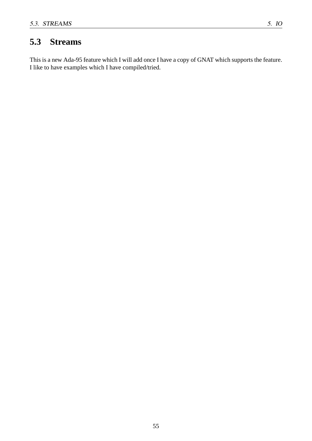#### **5.3 Streams**

This is a new Ada-95 feature which I will add once I have a copy of GNAT which supports the feature. I like to have examples which I have compiled/tried.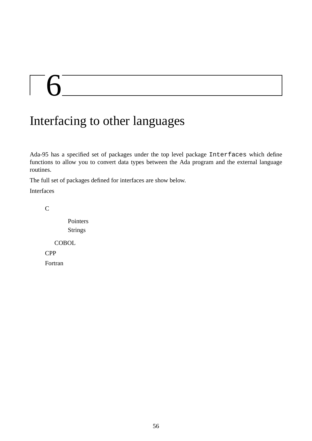# $\begin{bmatrix} 6 \end{bmatrix}$

## Interfacing to other languages

Ada-95 has a specified set of packages under the top level package Interfaces which define functions to allow you to convert data types between the Ada program and the external language routines.

The full set of packages defined for interfaces are show below.

Interfaces

C

Pointers Strings

**COBOL** 

CPP

Fortran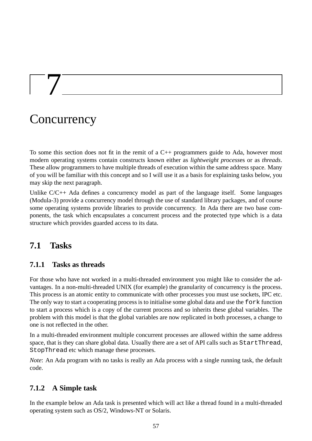## **Concurrency**

 $\vert \quad \rangle$ 

To some this section does not fit in the remit of a C++ programmers guide to Ada, however most modern operating systems contain constructs known either as *lightweight process*es or as *threads*. These allow programmers to have multiple threads of execution within the same address space. Many of you will be familiar with this concept and so I will use it as a basis for explaining tasks below, you may skip the next paragraph.

Unlike C/C++ Ada defines a concurrency model as part of the language itself. Some languages (Modula-3) provide a concurrency model through the use of standard library packages, and of course some operating systems provide libraries to provide concurrency. In Ada there are two base components, the task which encapsulates a concurrent process and the protected type which is a data structure which provides guarded access to its data.

#### **7.1 Tasks**

#### **7.1.1 Tasks as threads**

For those who have not worked in a multi-threaded environment you might like to consider the advantages. In a non-multi-threaded UNIX (for example) the granularity of concurrency is the process. This process is an atomic entity to communicate with other processes you must use sockets, IPC etc. The only way to start a cooperating process is to initialise some global data and use the fork function to start a process which is a copy of the current process and so inherits these global variables. The problem with this model is that the global variables are now replicated in both processes, a change to one is not reflected in the other.

In a multi-threaded environment multiple concurrent processes are allowed within the same address space, that is they can share global data. Usually there are a set of API calls such as StartThread, StopThread etc which manage these processes.

*Note*: An Ada program with no tasks is really an Ada process with a single running task, the default code.

#### **7.1.2 A Simple task**

In the example below an Ada task is presented which will act like a thread found in a multi-threaded operating system such as OS/2, Windows-NT or Solaris.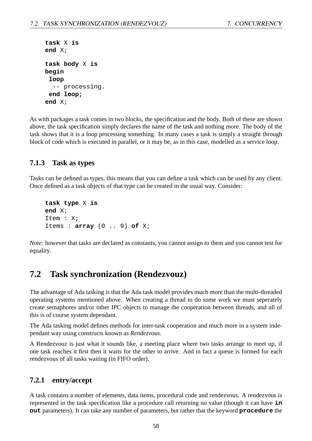```
task X is
end X;
task body X is
begin
 loop
  -- processing.
 end loop;
end X;
```
As with packages a task comes in two blocks, the specification and the body. Both of these are shown above, the task specification simply declares the name of the task and nothing more. The body of the task shows that it is a loop processing something. In many cases a task is simply a straight through block of code which is executed in parallel, or it may be, as in this case, modelled as a service loop.

#### **7.1.3 Task as types**

Tasks can be defined as types, this means that you can define a task which can be used by any client. Once defined as a task objects of that type can be created in the usual way. Consider:

```
task type X is
end X;
Item : X;
Items : array (0 .. 9) of X;
```
*Note*: however that tasks are declared as constants, you cannot assign to them and you cannot test for equality.

#### **7.2 Task synchronization (Rendezvouz)**

The advantage of Ada tasking is that the Ada task model provides much more than the multi-threaded operating systems mentioned above. When creating a thread to do some work we must seperately create semaphores and/or other IPC objects to manage the cooperation between threads, and all of this is of course system dependant.

The Ada tasking model defines methods for inter-task cooperation and much more in a system independant way using constructs known as *Rendezvous*.

A Rendezvouz is just what it sounds like, a meeting place where two tasks arrange to meet up, if one task reaches it first then it waits for the other to arrive. And in fact a queue is formed for each rendezvous of all tasks waiting (in FIFO order).

#### **7.2.1 entry/accept**

A task contains a number of elements, data items, procedural code and rendezvous. A rendezvous is represented in the task specification like a procedure call returning no value (though it can have **in out** parameters). It can take any number of parameters, but rather that the keyword **procedure** the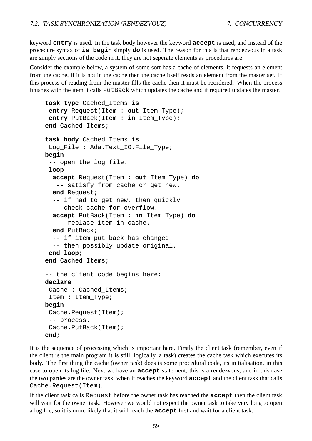keyword **entry** is used. In the task body however the keyword **accept** is used, and instead of the procedure syntax of **is begin** simply **do** is used. The reason for this is that rendezvous in a task are simply sections of the code in it, they are not seperate elements as procedures are.

Consider the example below, a system of some sort has a cache of elements, it requests an element from the cache, if it is not in the cache then the cache itself reads an element from the master set. If this process of reading from the master fills the cache then it must be reordered. When the process finishes with the item it calls PutBack which updates the cache and if required updates the master.

```
task type Cached_Items is
 entry Request(Item : out Item_Type);
 entry PutBack(Item : in Item_Type);
end Cached_Items;
task body Cached_Items is
 Log_File : Ada.Text_IO.File_Type;
begin
 -- open the log file.
 loop
  accept Request(Item : out Item_Type) do
   -- satisfy from cache or get new.
  end Request;
  -- if had to get new, then quickly
  -- check cache for overflow.
  accept PutBack(Item : in Item_Type) do
   -- replace item in cache.
  end PutBack;
  -- if item put back has changed
  -- then possibly update original.
 end loop;
end Cached_Items;
-- the client code begins here:
declare
 Cache : Cached Items;
 Item : Item_Type;
begin
 Cache.Request(Item);
 -- process.
 Cache.PutBack(Item);
end;
```
It is the sequence of processing which is important here, Firstly the client task (remember, even if the client is the main program it is still, logically, a task) creates the cache task which executes its body. The first thing the cache (owner task) does is some procedural code, its initialisation, in this case to open its log file. Next we have an **accept** statement, this is a rendezvous, and in this case the two parties are the owner task, when it reaches the keyword **accept** and the client task that calls Cache.Request(Item).

If the client task calls Request before the owner task has reached the **accept** then the client task will wait for the owner task. However we would not expect the owner task to take very long to open a log file, so it is more likely that it will reach the **accept** first and wait for a client task.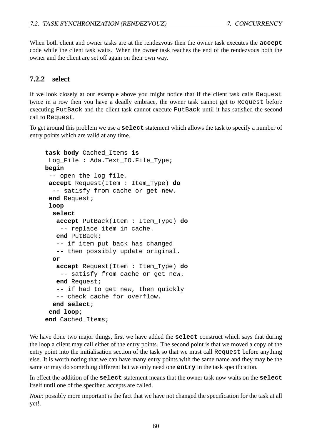When both client and owner tasks are at the rendezvous then the owner task executes the **accept** code while the client task waits. When the owner task reaches the end of the rendezvous both the owner and the client are set off again on their own way.

#### **7.2.2 select**

If we look closely at our example above you might notice that if the client task calls Request twice in a row then you have a deadly embrace, the owner task cannot get to Request before executing PutBack and the client task cannot execute PutBack until it has satisfied the second call to Request.

To get around this problem we use a **select** statement which allows the task to specify a number of entry points which are valid at any time.

```
task body Cached_Items is
 Log_File : Ada.Text_IO.File_Type;
begin
 -- open the log file.
 accept Request(Item : Item_Type) do
  -- satisfy from cache or get new.
 end Request;
 loop
  select
   accept PutBack(Item : Item_Type) do
    -- replace item in cache.
   end PutBack;
   -- if item put back has changed
   -- then possibly update original.
  or
   accept Request(Item : Item_Type) do
    -- satisfy from cache or get new.
   end Request;
   -- if had to get new, then quickly
   -- check cache for overflow.
  end select;
 end loop;
end Cached_Items;
```
We have done two major things, first we have added the **select** construct which says that during the loop a client may call either of the entry points. The second point is that we moved a copy of the entry point into the initialisation section of the task so that we must call Request before anything else. It is worth noting that we can have many entry points with the same name and they may be the same or may do something different but we only need one **entry** in the task specification.

In effect the addition of the **select** statement means that the owner task now waits on the **select** itself until one of the specified accepts are called.

*Note*: possibly more important is the fact that we have not changed the specification for the task at all yet!.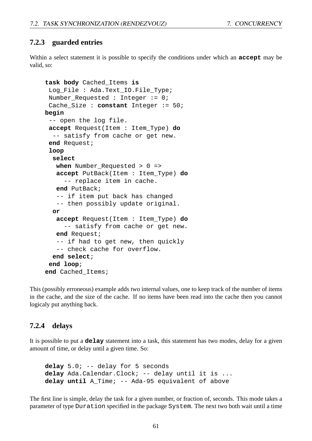#### **7.2.3 guarded entries**

Within a select statement it is possible to specify the conditions under which an **accept** may be valid, so:

```
task body Cached_Items is
 Log_File : Ada.Text_IO.File_Type;
Number_Requested : Integer := 0;
 Cache_Size : constant Integer := 50;
begin
 -- open the log file.
 accept Request(Item : Item_Type) do
  -- satisfy from cache or get new.
 end Request;
 loop
  select
   when Number_Requested > 0 =>
   accept PutBack(Item : Item_Type) do
     -- replace item in cache.
   end PutBack;
   -- if item put back has changed
   -- then possibly update original.
  or
   accept Request(Item : Item_Type) do
     -- satisfy from cache or get new.
   end Request;
   -- if had to get new, then quickly
   -- check cache for overflow.
  end select;
 end loop;
end Cached_Items;
```
This (possibly erroneous) example adds two internal values, one to keep track of the number of items in the cache, and the size of the cache. If no items have been read into the cache then you cannot logicaly put anything back.

#### **7.2.4 delays**

It is possible to put a **delay** statement into a task, this statement has two modes, delay for a given amount of time, or delay until a given time. So:

```
delay 5.0; -- delay for 5 seconds
delay Ada.Calendar.Clock; -- delay until it is ...
delay until A_Time; -- Ada-95 equivalent of above
```
The first line is simple, delay the task for a given number, or fraction of, seconds. This mode takes a parameter of type Duration specified in the package System. The next two both wait until a time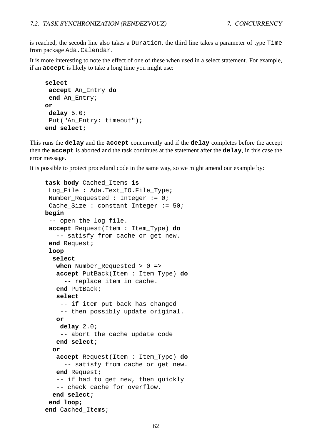is reached, the secodn line also takes a Duration, the third line takes a parameter of type Time from package Ada.Calendar.

It is more interesting to note the effect of one of these when used in a select statement. For example, if an **accept** is likely to take a long time you might use:

```
select
accept An_Entry do
 end An_Entry;
or
delay 5.0;
Put("An_Entry: timeout");
end select;
```
This runs the **delay** and the **accept** concurrently and if the **delay** completes before the accept then the **accept** is aborted and the task continues at the statement after the **delay**, in this case the error message.

It is possible to protect procedural code in the same way, so we might amend our example by:

```
task body Cached_Items is
 Log_File : Ada.Text_IO.File_Type;
Number Requested : Integer := 0;Cache_Size : constant Integer := 50;
begin
 -- open the log file.
 accept Request(Item : Item_Type) do
   -- satisfy from cache or get new.
 end Request;
 loop
  select
   when Number_Requested > 0 =>
   accept PutBack(Item : Item_Type) do
     -- replace item in cache.
   end PutBack;
   select
    -- if item put back has changed
    -- then possibly update original.
   or
    delay 2.0;
    -- abort the cache update code
   end select;
  or
   accept Request(Item : Item_Type) do
     -- satisfy from cache or get new.
   end Request;
   -- if had to get new, then quickly
   -- check cache for overflow.
  end select;
 end loop;
end Cached_Items;
```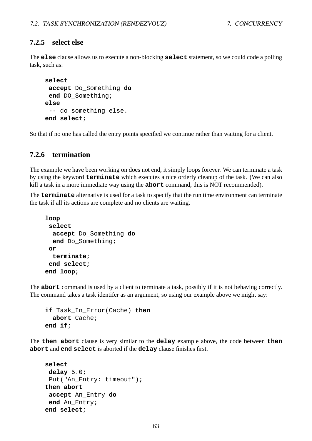#### **7.2.5 select else**

The **else** clause allows us to execute a non-blocking **select** statement, so we could code a polling task, such as:

```
select
 accept Do_Something do
end DO_Something;
else
 -- do something else.
end select;
```
So that if no one has called the entry points specified we continue rather than waiting for a client.

#### **7.2.6 termination**

The example we have been working on does not end, it simply loops forever. We can terminate a task by using the keyword **terminate** which executes a nice orderly cleanup of the task. (We can also kill a task in a more immediate way using the **abort** command, this is NOT recommended).

The **terminate** alternative is used for a task to specify that the run time environment can terminate the task if all its actions are complete and no clients are waiting.

```
loop
 select
  accept Do_Something do
  end Do_Something;
or
  terminate;
 end select;
end loop;
```
The **abort** command is used by a client to terminate a task, possibly if it is not behaving correctly. The command takes a task identifer as an argument, so using our example above we might say:

```
if Task_In_Error(Cache) then
  abort Cache;
end if;
```
The **then abort** clause is very similar to the **delay** example above, the code between **then abort** and **end select** is aborted if the **delay** clause finishes first.

```
select
delay 5.0;
 Put("An_Entry: timeout");
then abort
 accept An_Entry do
 end An_Entry;
end select;
```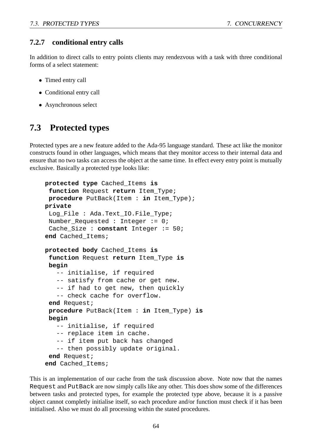#### **7.2.7 conditional entry calls**

In addition to direct calls to entry points clients may rendezvous with a task with three conditional forms of a select statement:

- Timed entry call
- Conditional entry call
- Asynchronous select

#### **7.3 Protected types**

Protected types are a new feature added to the Ada-95 language standard. These act like the monitor constructs found in other languages, which means that they monitor access to their internal data and ensure that no two tasks can access the object at the same time. In effect every entry point is mutually exclusive. Basically a protected type looks like:

```
protected type Cached_Items is
 function Request return Item_Type;
procedure PutBack(Item : in Item_Type);
private
 Log_File : Ada.Text_IO.File_Type;
Number_Requested : Integer := 0;
 Cache_Size : constant Integer := 50;
end Cached_Items;
protected body Cached_Items is
 function Request return Item_Type is
begin
   -- initialise, if required
   -- satisfy from cache or get new.
   -- if had to get new, then quickly
   -- check cache for overflow.
 end Request;
procedure PutBack(Item : in Item_Type) is
begin
   -- initialise, if required
   -- replace item in cache.
   -- if item put back has changed
   -- then possibly update original.
 end Request;
end Cached_Items;
```
This is an implementation of our cache from the task discussion above. Note now that the names Request and PutBack are now simply calls like any other. This does show some of the differences between tasks and protected types, for example the protected type above, because it is a passive object cannot completly initialise itself, so each procedure and/or function must check if it has been initialised. Also we must do all processing within the stated procedures.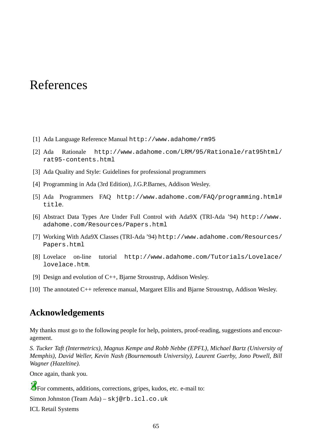## References

- [1] Ada Language Reference Manual http://www.adahome/rm95
- [2] Ada Rationale http://www.adahome.com/LRM/95/Rationale/rat95html/ rat95-contents.html
- [3] Ada Quality and Style: Guidelines for professional programmers
- [4] Programming in Ada (3rd Edition), J.G.P.Barnes, Addison Wesley.
- [5] Ada Programmers FAQ http://www.adahome.com/FAQ/programming.html# title.
- [6] Abstract Data Types Are Under Full Control with Ada9X (TRI-Ada '94) http://www. adahome.com/Resources/Papers.html
- [7] Working With Ada9X Classes (TRI-Ada '94) http://www.adahome.com/Resources/ Papers.html
- [8] Lovelace on-line tutorial http://www.adahome.com/Tutorials/Lovelace/ lovelace.htm.
- [9] Design and evolution of C++, Bjarne Stroustrup, Addison Wesley.
- [10] The annotated C++ reference manual, Margaret Ellis and Bjarne Stroustrup, Addison Wesley.

#### **Acknowledgements**

My thanks must go to the following people for help, pointers, proof-reading, suggestions and encouragement.

*S. Tucker Taft (Intermetrics), Magnus Kempe and Robb Nebbe (EPFL), Michael Bartz (University of Memphis), David Weller, Kevin Nash (Bournemouth University), Laurent Guerby, Jono Powell, Bill Wagner (Hazeltine).*

Once again, thank you.

For comments, additions, corrections, gripes, kudos, etc. e-mail to:

Simon Johnston (Team Ada) – skj@rb.icl.co.uk

ICL Retail Systems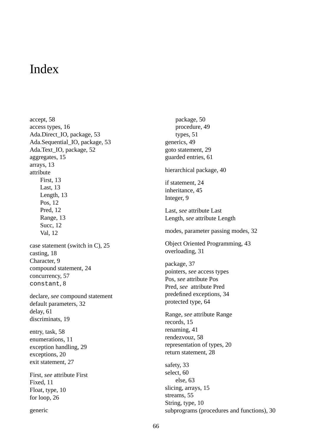## Index

accept, 58 access types, 16 Ada.Direct\_IO, package, 53 Ada.Sequential\_IO, package, 53 Ada.Text\_IO, package, 52 aggregates, 15 arrays, 13 attribute First, 13 Last, 13 Length, 13 Pos, 12 Pred, 12 Range, 13 Succ, 12 Val, 12 case statement (switch in C), 25 casting, 18 Character, 9 compound statement, 24 concurrency, 57 constant, 8 declare, *see* compound statement default parameters, 32 delay, 61 discriminats, 19 entry, task, 58 enumerations, 11 exception handling, 29 exceptions, 20 exit statement, 27 First, *see* attribute First Fixed, 11 Float, type, 10 for loop, 26 generic

package, 50 procedure, 49 types, 51 generics, 49 goto statement, 29 guarded entries, 61 hierarchical package, 40 if statement, 24 inheritance, 45 Integer, 9 Last, *see* attribute Last Length, *see* attribute Length modes, parameter passing modes, 32 Object Oriented Programming, 43 overloading, 31 package, 37 pointers, *see* access types Pos, *see* attribute Pos Pred, *see* attribute Pred predefined exceptions, 34 protected type, 64 Range, *see* attribute Range records, 15 renaming, 41 rendezvouz, 58 representation of types, 20 return statement, 28 safety, 33 select, 60 else, 63 slicing, arrays, 15 streams, 55 String, type, 10 subprograms (procedures and functions), 30